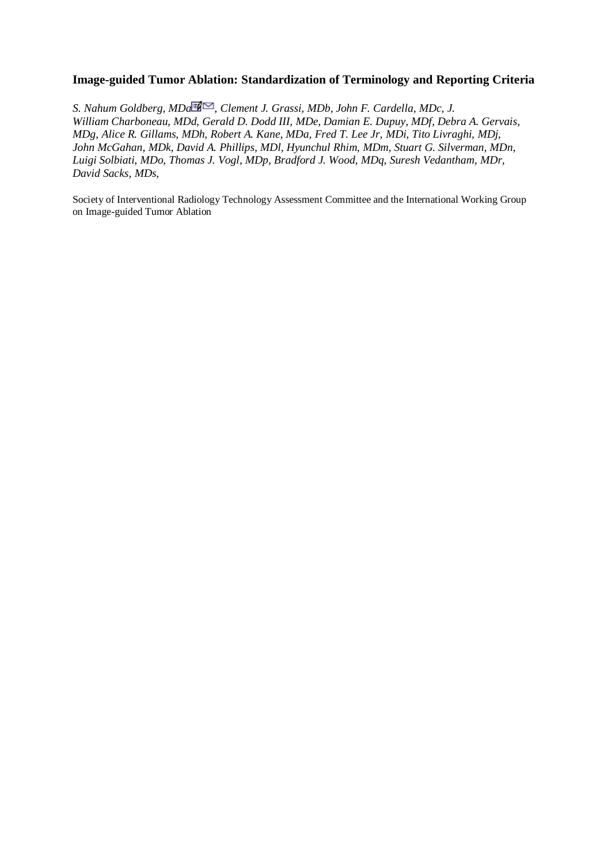## **Image-guided Tumor Ablation: Standardization of Terminology and Reporting Criteria**

*S. Nahum [Goldberg,](http://www.jvir.org/article/PIIS105104430900308X/fulltext##) M[Da](http://www.jvir.org/article/PIIS105104430900308X/fulltext#aff1#aff1) , [Clement J.](http://www.jvir.org/article/PIIS105104430900308X/fulltext##) Grassi, M[Db,](http://www.jvir.org/article/PIIS105104430900308X/fulltext#aff2#aff2) John F. [Cardella,](http://www.jvir.org/article/PIIS105104430900308X/fulltext##) M[Dc,](http://www.jvir.org/article/PIIS105104430900308X/fulltext#aff3#aff3) [J.](http://www.jvir.org/article/PIIS105104430900308X/fulltext##)  William [Charboneau,](http://www.jvir.org/article/PIIS105104430900308X/fulltext##) M[Dd,](http://www.jvir.org/article/PIIS105104430900308X/fulltext#aff4#aff4) [Gerald D.](http://www.jvir.org/article/PIIS105104430900308X/fulltext##) Dodd III, M[De,](http://www.jvir.org/article/PIIS105104430900308X/fulltext#aff5#aff5) [Damian E.](http://www.jvir.org/article/PIIS105104430900308X/fulltext##) Dupuy, M[Df,](http://www.jvir.org/article/PIIS105104430900308X/fulltext#aff6#aff6) [Debra A.](http://www.jvir.org/article/PIIS105104430900308X/fulltext##) Gervais, M[Dg,](http://www.jvir.org/article/PIIS105104430900308X/fulltext#aff7#aff7) Alice R. [Gillams,](http://www.jvir.org/article/PIIS105104430900308X/fulltext##) M[Dh,](http://www.jvir.org/article/PIIS105104430900308X/fulltext#aff8#aff8) [Robert A.](http://www.jvir.org/article/PIIS105104430900308X/fulltext##) Kane, M[Da,](http://www.jvir.org/article/PIIS105104430900308X/fulltext#aff1#aff1) [Fred T.](http://www.jvir.org/article/PIIS105104430900308X/fulltext##) Lee Jr, M[Di,](http://www.jvir.org/article/PIIS105104430900308X/fulltext#aff9#aff9) Tito [Livraghi,](http://www.jvir.org/article/PIIS105104430900308X/fulltext##) M[Dj,](http://www.jvir.org/article/PIIS105104430900308X/fulltext#aff10#aff10) John [McGahan,](http://www.jvir.org/article/PIIS105104430900308X/fulltext##) M[Dk,](http://www.jvir.org/article/PIIS105104430900308X/fulltext#aff11#aff11) [David A.](http://www.jvir.org/article/PIIS105104430900308X/fulltext##) Phillips, M[Dl,](http://www.jvir.org/article/PIIS105104430900308X/fulltext#aff12#aff12) [Hyunchul](http://www.jvir.org/article/PIIS105104430900308X/fulltext##) Rhim, M[Dm,](http://www.jvir.org/article/PIIS105104430900308X/fulltext#aff13#aff13) Stuart G. [Silverman,](http://www.jvir.org/article/PIIS105104430900308X/fulltext##) M[Dn,](http://www.jvir.org/article/PIIS105104430900308X/fulltext#aff14#aff14) Luigi [Solbiati,](http://www.jvir.org/article/PIIS105104430900308X/fulltext##) M[Do,](http://www.jvir.org/article/PIIS105104430900308X/fulltext#aff15#aff15) [Thomas J.](http://www.jvir.org/article/PIIS105104430900308X/fulltext##) Vogl, M[Dp,](http://www.jvir.org/article/PIIS105104430900308X/fulltext#aff16#aff16) [Bradford J.](http://www.jvir.org/article/PIIS105104430900308X/fulltext##) Wood, M[Dq,](http://www.jvir.org/article/PIIS105104430900308X/fulltext#aff17#aff17) Suresh [Vedantham,](http://www.jvir.org/article/PIIS105104430900308X/fulltext##) M[Dr,](http://www.jvir.org/article/PIIS105104430900308X/fulltext#aff18#aff18) David [Sacks,](http://www.jvir.org/article/PIIS105104430900308X/fulltext##) M[Ds,](http://www.jvir.org/article/PIIS105104430900308X/fulltext#aff19#aff19)* 

Society of Interventional Radiology Technology Assessment Committee and the International Working Group on Image-guided Tumor Ablation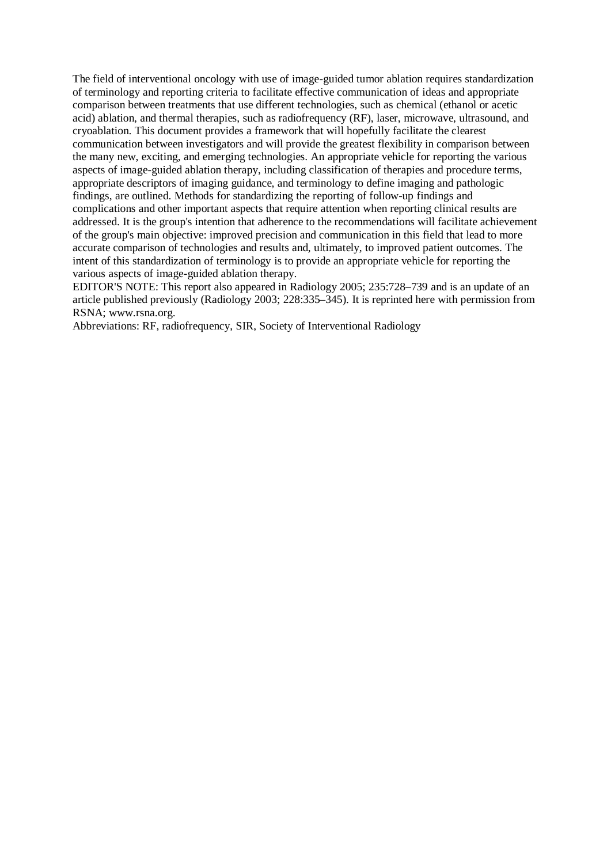The field of interventional oncology with use of image-guided tumor ablation requires standardization of terminology and reporting criteria to facilitate effective communication of ideas and appropriate comparison between treatments that use different technologies, such as chemical (ethanol or acetic acid) ablation, and thermal therapies, such as radiofrequency (RF), laser, microwave, ultrasound, and cryoablation. This document provides a framework that will hopefully facilitate the clearest communication between investigators and will provide the greatest flexibility in comparison between the many new, exciting, and emerging technologies. An appropriate vehicle for reporting the various aspects of image-guided ablation therapy, including classification of therapies and procedure terms, appropriate descriptors of imaging guidance, and terminology to define imaging and pathologic findings, are outlined. Methods for standardizing the reporting of follow-up findings and complications and other important aspects that require attention when reporting clinical results are addressed. It is the group's intention that adherence to the recommendations will facilitate achievement of the group's main objective: improved precision and communication in this field that lead to more accurate comparison of technologies and results and, ultimately, to improved patient outcomes. The intent of this standardization of terminology is to provide an appropriate vehicle for reporting the various aspects of image-guided ablation therapy.

EDITOR'S NOTE: This report also appeared in Radiology 2005; 235:728–739 and is an update of an article published previously (Radiology 2003; 228:335–345). It is reprinted here with permission from RSNA; [www.rsna.org.](http://www.rsna.org/)

Abbreviations: [RF,](http://www.jvir.org/search/quick?search_area=journal&search_text1=RF&restrictName.jvir=jvir) [radiofrequency,](http://www.jvir.org/search/quick?search_area=journal&search_text1=radiofrequency&restrictName.jvir=jvir) [SIR,](http://www.jvir.org/search/quick?search_area=journal&search_text1=SIR&restrictName.jvir=jvir) [Society of Interventional Radiology](http://www.jvir.org/search/quick?search_area=journal&search_text1=Society%20of%20Interventional%20Radiology&restrictName.jvir=jvir)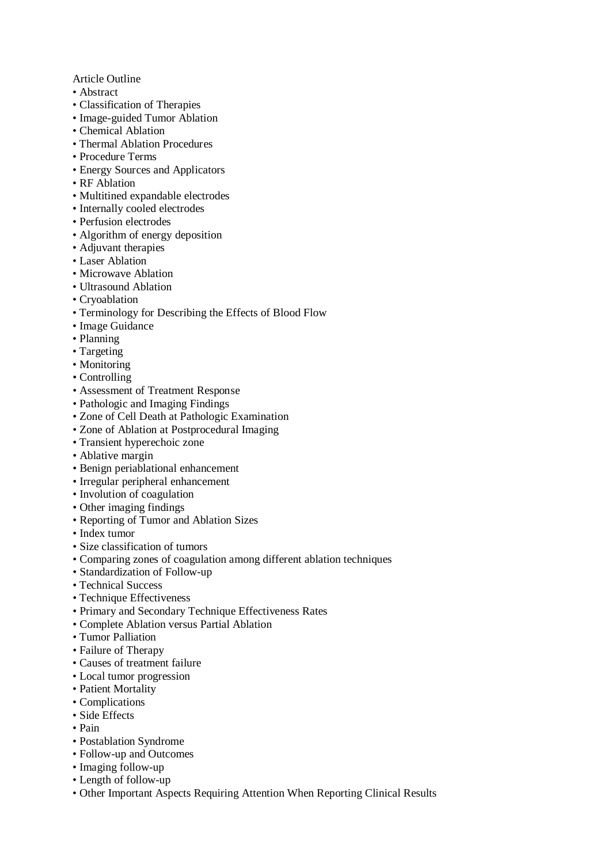## Article Outline

- • [Abstract](http://www.jvir.org/article/PIIS105104430900308X/fulltext#abstract#abstract)
- • [Classification of Therapies](http://www.jvir.org/article/PIIS105104430900308X/fulltext#sec1#sec1)
- • [Image-guided Tumor Ablation](http://www.jvir.org/article/PIIS105104430900308X/fulltext#sec1.1#sec1.1)
- • [Chemical Ablation](http://www.jvir.org/article/PIIS105104430900308X/fulltext#sec1.2#sec1.2)
- • [Thermal Ablation Procedures](http://www.jvir.org/article/PIIS105104430900308X/fulltext#sec1.3#sec1.3)
- • [Procedure Terms](http://www.jvir.org/article/PIIS105104430900308X/fulltext#sec1.4#sec1.4)
- • [Energy Sources and Applicators](http://www.jvir.org/article/PIIS105104430900308X/fulltext#sec1.5#sec1.5)
- • [RF Ablation](http://www.jvir.org/article/PIIS105104430900308X/fulltext#sec1.6#sec1.6)
- • [Multitined expandable electrodes](http://www.jvir.org/article/PIIS105104430900308X/fulltext#sec1.6.1#sec1.6.1)
- • [Internally cooled electrodes](http://www.jvir.org/article/PIIS105104430900308X/fulltext#sec1.6.2#sec1.6.2)
- • [Perfusion electrodes](http://www.jvir.org/article/PIIS105104430900308X/fulltext#sec1.6.3#sec1.6.3)
- • [Algorithm of energy deposition](http://www.jvir.org/article/PIIS105104430900308X/fulltext#sec1.6.4#sec1.6.4)
- • [Adjuvant therapies](http://www.jvir.org/article/PIIS105104430900308X/fulltext#sec1.6.5#sec1.6.5)
- • [Laser Ablation](http://www.jvir.org/article/PIIS105104430900308X/fulltext#sec1.7#sec1.7)
- • [Microwave Ablation](http://www.jvir.org/article/PIIS105104430900308X/fulltext#sec1.8#sec1.8)
- • [Ultrasound Ablation](http://www.jvir.org/article/PIIS105104430900308X/fulltext#sec1.9#sec1.9)
- • [Cryoablation](http://www.jvir.org/article/PIIS105104430900308X/fulltext#sec1.10#sec1.10)
- • [Terminology for Describing the Effects of Blood Flow](http://www.jvir.org/article/PIIS105104430900308X/fulltext#sec1.11#sec1.11)
- • [Image Guidance](http://www.jvir.org/article/PIIS105104430900308X/fulltext#sec2#sec2)
- • [Planning](http://www.jvir.org/article/PIIS105104430900308X/fulltext#sec2.1#sec2.1)
- • [Targeting](http://www.jvir.org/article/PIIS105104430900308X/fulltext#sec2.2#sec2.2)
- • [Monitoring](http://www.jvir.org/article/PIIS105104430900308X/fulltext#sec2.3#sec2.3)
- • [Controlling](http://www.jvir.org/article/PIIS105104430900308X/fulltext#sec2.4#sec2.4)
- • [Assessment of Treatment Response](http://www.jvir.org/article/PIIS105104430900308X/fulltext#sec2.5#sec2.5)
- • [Pathologic and Imaging Findings](http://www.jvir.org/article/PIIS105104430900308X/fulltext#sec3#sec3)
- • [Zone of Cell Death at Pathologic Examination](http://www.jvir.org/article/PIIS105104430900308X/fulltext#sec3.1#sec3.1)
- • [Zone of Ablation at Postprocedural Imaging](http://www.jvir.org/article/PIIS105104430900308X/fulltext#sec3.2#sec3.2)
- • [Transient hyperechoic zone](http://www.jvir.org/article/PIIS105104430900308X/fulltext#sec3.2.1#sec3.2.1)
- • [Ablative margin](http://www.jvir.org/article/PIIS105104430900308X/fulltext#sec3.2.2#sec3.2.2)
- • [Benign periablational enhancement](http://www.jvir.org/article/PIIS105104430900308X/fulltext#sec3.2.3#sec3.2.3)
- • [Irregular peripheral enhancement](http://www.jvir.org/article/PIIS105104430900308X/fulltext#sec3.2.4#sec3.2.4)
- • [Involution of coagulation](http://www.jvir.org/article/PIIS105104430900308X/fulltext#sec3.2.5#sec3.2.5)
- • [Other imaging findings](http://www.jvir.org/article/PIIS105104430900308X/fulltext#sec3.2.6#sec3.2.6)
- • [Reporting of Tumor and Ablation Sizes](http://www.jvir.org/article/PIIS105104430900308X/fulltext#sec3.3#sec3.3)
- • [Index tumor](http://www.jvir.org/article/PIIS105104430900308X/fulltext#sec3.3.1#sec3.3.1)
- • [Size classification of tumors](http://www.jvir.org/article/PIIS105104430900308X/fulltext#sec3.3.2#sec3.3.2)
- • [Comparing zones of coagulation among different ablation techniques](http://www.jvir.org/article/PIIS105104430900308X/fulltext#sec3.3.3#sec3.3.3)
- • [Standardization of Follow-up](http://www.jvir.org/article/PIIS105104430900308X/fulltext#sec4#sec4)
- • [Technical Success](http://www.jvir.org/article/PIIS105104430900308X/fulltext#sec4.1#sec4.1)
- • [Technique Effectiveness](http://www.jvir.org/article/PIIS105104430900308X/fulltext#sec4.2#sec4.2)
- • [Primary and Secondary Technique Effectiveness Rates](http://www.jvir.org/article/PIIS105104430900308X/fulltext#sec4.3#sec4.3)
- • [Complete Ablation versus Partial Ablation](http://www.jvir.org/article/PIIS105104430900308X/fulltext#sec4.4#sec4.4)
- • [Tumor Palliation](http://www.jvir.org/article/PIIS105104430900308X/fulltext#sec4.5#sec4.5)
- • [Failure of Therapy](http://www.jvir.org/article/PIIS105104430900308X/fulltext#sec4.6#sec4.6)
- • [Causes of treatment failure](http://www.jvir.org/article/PIIS105104430900308X/fulltext#sec4.6.1#sec4.6.1)
- • [Local tumor progression](http://www.jvir.org/article/PIIS105104430900308X/fulltext#sec4.6.2#sec4.6.2)
- • [Patient Mortality](http://www.jvir.org/article/PIIS105104430900308X/fulltext#sec4.7#sec4.7)
- • [Complications](http://www.jvir.org/article/PIIS105104430900308X/fulltext#sec5#sec5)
- • [Side Effects](http://www.jvir.org/article/PIIS105104430900308X/fulltext#sec5.1#sec5.1)
- • [Pain](http://www.jvir.org/article/PIIS105104430900308X/fulltext#sec5.2#sec5.2)
- • [Postablation Syndrome](http://www.jvir.org/article/PIIS105104430900308X/fulltext#sec5.3#sec5.3)
- • [Follow-up and Outcomes](http://www.jvir.org/article/PIIS105104430900308X/fulltext#sec5.4#sec5.4)
- • [Imaging follow-up](http://www.jvir.org/article/PIIS105104430900308X/fulltext#sec5.4.1#sec5.4.1)
- • [Length of follow-up](http://www.jvir.org/article/PIIS105104430900308X/fulltext#sec5.4.2#sec5.4.2)
- • [Other Important Aspects Requiring Attention When Reporting Clinical Results](http://www.jvir.org/article/PIIS105104430900308X/fulltext#sec6#sec6)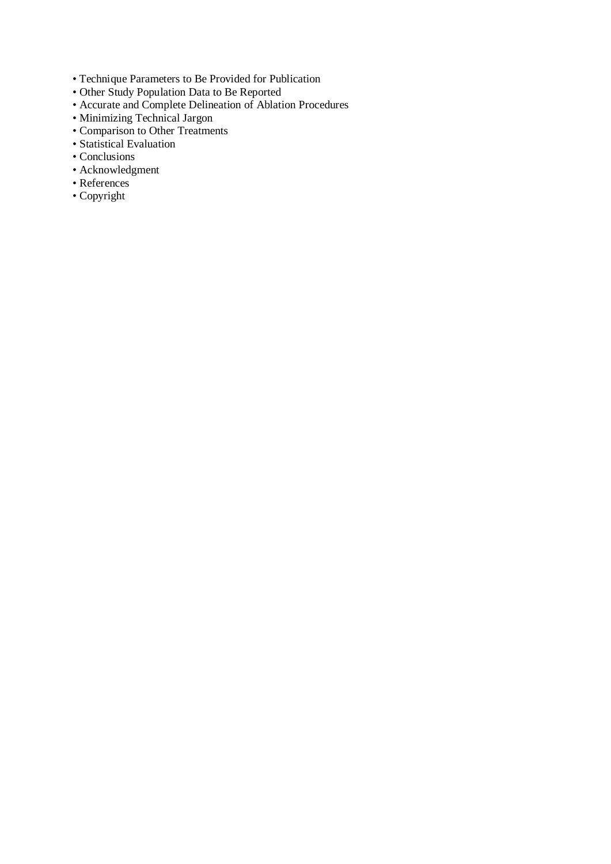- • [Technique Parameters to Be Provided for Publication](http://www.jvir.org/article/PIIS105104430900308X/fulltext#sec6.1#sec6.1)
- • [Other Study Population Data to Be Reported](http://www.jvir.org/article/PIIS105104430900308X/fulltext#sec6.2#sec6.2)
- • [Accurate and Complete Delineation of Ablation Procedures](http://www.jvir.org/article/PIIS105104430900308X/fulltext#sec6.3#sec6.3)
- • [Minimizing Technical Jargon](http://www.jvir.org/article/PIIS105104430900308X/fulltext#sec6.4#sec6.4)
- • [Comparison to Other Treatments](http://www.jvir.org/article/PIIS105104430900308X/fulltext#sec6.5#sec6.5)
- • [Statistical Evaluation](http://www.jvir.org/article/PIIS105104430900308X/fulltext#sec6.6#sec6.6)
- • [Conclusions](http://www.jvir.org/article/PIIS105104430900308X/fulltext#sec7#sec7)
- • [Acknowledgment](http://www.jvir.org/article/PIIS105104430900308X/fulltext#acknowledgment#acknowledgment)
- • [References](http://www.jvir.org/article/PIIS105104430900308X/fulltext#bibliography#bibliography)
- • [Copyright](http://www.jvir.org/article/PIIS105104430900308X/fulltext#copyright#copyright)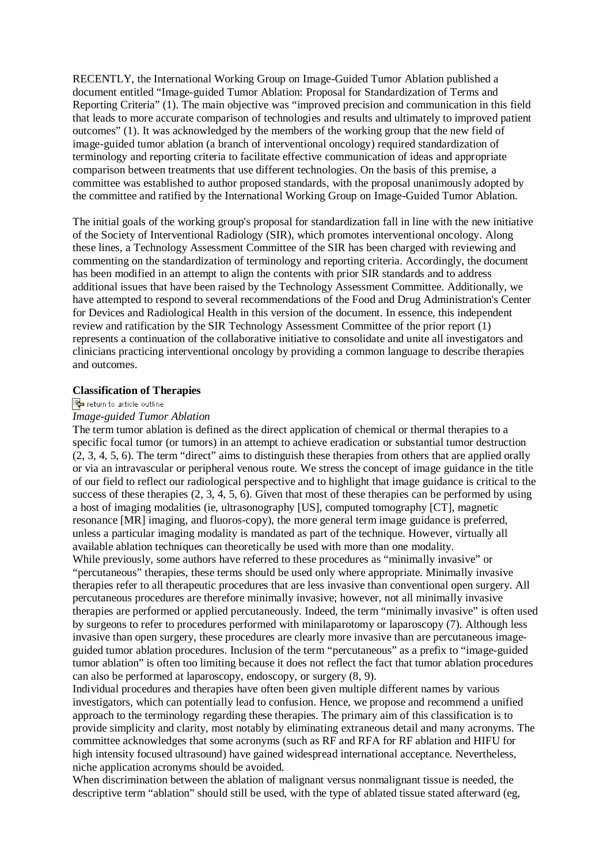RECENTLY, the International Working Group on Image-Guided Tumor Ablation published a document entitled "Image-guided Tumor Ablation: Proposal for Standardization of Terms and Reporting Criteria" [\(1\)](http://www.jvir.org/article/PIIS105104430900308X/fulltext#bib1#bib1). The main objective was "improved precision and communication in this field that leads to more accurate comparison of technologies and results and ultimately to improved patient outcomes" [\(1\)](http://www.jvir.org/article/PIIS105104430900308X/fulltext#bib1#bib1). It was acknowledged by the members of the working group that the new field of image-guided tumor ablation (a branch of interventional oncology) required standardization of terminology and reporting criteria to facilitate effective communication of ideas and appropriate comparison between treatments that use different technologies. On the basis of this premise, a committee was established to author proposed standards, with the proposal unanimously adopted by the committee and ratified by the International Working Group on Image-Guided Tumor Ablation.

The initial goals of the working group's proposal for standardization fall in line with the new initiative of the Society of Interventional Radiology (SIR), which promotes interventional oncology. Along these lines, a Technology Assessment Committee of the SIR has been charged with reviewing and commenting on the standardization of terminology and reporting criteria. Accordingly, the document has been modified in an attempt to align the contents with prior SIR standards and to address additional issues that have been raised by the Technology Assessment Committee. Additionally, we have attempted to respond to several recommendations of the Food and Drug Administration's Center for Devices and Radiological Health in this version of the document. In essence, this independent review and ratification by the SIR Technology Assessment Committee of the prior report [\(1\)](http://www.jvir.org/article/PIIS105104430900308X/fulltext#bib1#bib1) represents a continuation of the collaborative initiative to consolidate and unite all investigators and clinicians practicing interventional oncology by providing a common language to describe therapies and outcomes.

## **Classification of Therapies**

## For return to article outline

## *Image-guided Tumor Ablation*

The term tumor ablation is defined as the direct application of chemical or thermal therapies to a specific focal tumor (or tumors) in an attempt to achieve eradication or substantial tumor destruction [\(2,](http://www.jvir.org/article/PIIS105104430900308X/fulltext#bib2#bib2) [3,](http://www.jvir.org/article/PIIS105104430900308X/fulltext#bib3#bib3) [4,](http://www.jvir.org/article/PIIS105104430900308X/fulltext#bib4#bib4) [5,](http://www.jvir.org/article/PIIS105104430900308X/fulltext#bib5#bib5) [6\)](http://www.jvir.org/article/PIIS105104430900308X/fulltext#bib6#bib6). The term "direct" aims to distinguish these therapies from others that are applied orally or via an intravascular or peripheral venous route. We stress the concept of image guidance in the title of our field to reflect our radiological perspective and to highlight that image guidance is critical to the success of these therapies [\(2,](http://www.jvir.org/article/PIIS105104430900308X/fulltext#bib2#bib2) [3,](http://www.jvir.org/article/PIIS105104430900308X/fulltext#bib3#bib3) [4,](http://www.jvir.org/article/PIIS105104430900308X/fulltext#bib4#bib4) [5,](http://www.jvir.org/article/PIIS105104430900308X/fulltext#bib5#bib5) [6\)](http://www.jvir.org/article/PIIS105104430900308X/fulltext#bib6#bib6). Given that most of these therapies can be performed by using a host of imaging modalities (ie, ultrasonography [US], computed tomography [CT], magnetic resonance [MR] imaging, and fluoros-copy), the more general term image guidance is preferred, unless a particular imaging modality is mandated as part of the technique. However, virtually all available ablation techniques can theoretically be used with more than one modality.

While previously, some authors have referred to these procedures as "minimally invasive" or "percutaneous" therapies, these terms should be used only where appropriate. Minimally invasive therapies refer to all therapeutic procedures that are less invasive than conventional open surgery. All percutaneous procedures are therefore minimally invasive; however, not all minimally invasive therapies are performed or applied percutaneously. Indeed, the term "minimally invasive" is often used by surgeons to refer to procedures performed with minilaparotomy or laparoscopy [\(7\)](http://www.jvir.org/article/PIIS105104430900308X/fulltext#bib7#bib7). Although less invasive than open surgery, these procedures are clearly more invasive than are percutaneous imageguided tumor ablation procedures. Inclusion of the term "percutaneous" as a prefix to "image-guided tumor ablation" is often too limiting because it does not reflect the fact that tumor ablation procedures can also be performed at laparoscopy, endoscopy, or surgery [\(8,](http://www.jvir.org/article/PIIS105104430900308X/fulltext#bib8#bib8) [9\)](http://www.jvir.org/article/PIIS105104430900308X/fulltext#bib9#bib9).

Individual procedures and therapies have often been given multiple different names by various investigators, which can potentially lead to confusion. Hence, we propose and recommend a unified approach to the terminology regarding these therapies. The primary aim of this classification is to provide simplicity and clarity, most notably by eliminating extraneous detail and many acronyms. The committee acknowledges that some acronyms (such as RF and RFA for RF ablation and HIFU for high intensity focused ultrasound) have gained widespread international acceptance. Nevertheless, niche application acronyms should be avoided.

When discrimination between the ablation of malignant versus nonmalignant tissue is needed, the descriptive term "ablation" should still be used, with the type of ablated tissue stated afterward (eg,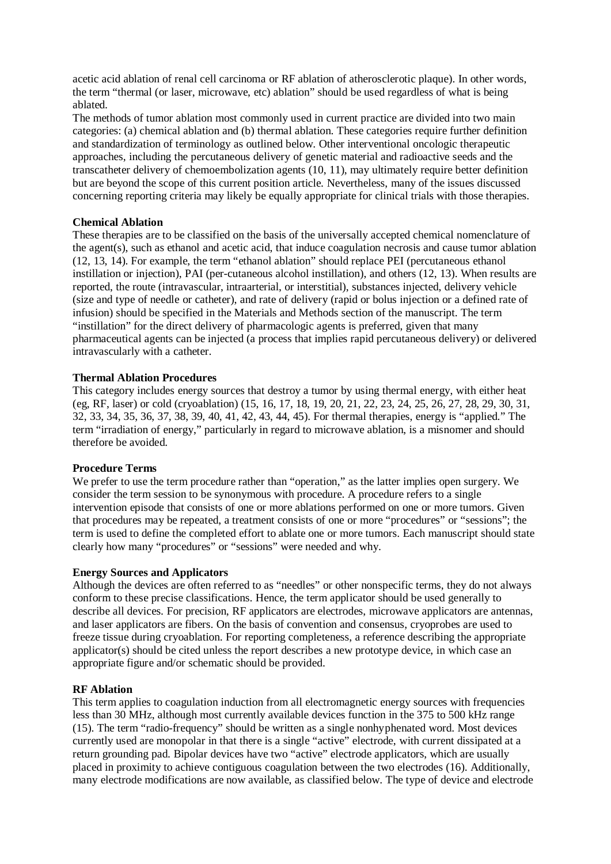acetic acid ablation of renal cell carcinoma or RF ablation of atherosclerotic plaque). In other words, the term "thermal (or laser, microwave, etc) ablation" should be used regardless of what is being ablated.

The methods of tumor ablation most commonly used in current practice are divided into two main categories: (a) chemical ablation and (b) thermal ablation. These categories require further definition and standardization of terminology as outlined below. Other interventional oncologic therapeutic approaches, including the percutaneous delivery of genetic material and radioactive seeds and the transcatheter delivery of chemoembolization agents [\(10,](http://www.jvir.org/article/PIIS105104430900308X/fulltext#bib10#bib10) [11\)](http://www.jvir.org/article/PIIS105104430900308X/fulltext#bib11#bib11), may ultimately require better definition but are beyond the scope of this current position article. Nevertheless, many of the issues discussed concerning reporting criteria may likely be equally appropriate for clinical trials with those therapies.

## **Chemical Ablation**

These therapies are to be classified on the basis of the universally accepted chemical nomenclature of the agent(s), such as ethanol and acetic acid, that induce coagulation necrosis and cause tumor ablation [\(12,](http://www.jvir.org/article/PIIS105104430900308X/fulltext#bib12#bib12) [13,](http://www.jvir.org/article/PIIS105104430900308X/fulltext#bib13#bib13) [14\)](http://www.jvir.org/article/PIIS105104430900308X/fulltext#bib14#bib14). For example, the term "ethanol ablation" should replace PEI (percutaneous ethanol instillation or injection), PAI (per-cutaneous alcohol instillation), and others [\(12,](http://www.jvir.org/article/PIIS105104430900308X/fulltext#bib12#bib12) [13\)](http://www.jvir.org/article/PIIS105104430900308X/fulltext#bib13#bib13). When results are reported, the route (intravascular, intraarterial, or interstitial), substances injected, delivery vehicle (size and type of needle or catheter), and rate of delivery (rapid or bolus injection or a defined rate of infusion) should be specified in the Materials and Methods section of the manuscript. The term "instillation" for the direct delivery of pharmacologic agents is preferred, given that many pharmaceutical agents can be injected (a process that implies rapid percutaneous delivery) or delivered intravascularly with a catheter.

## **Thermal Ablation Procedures**

This category includes energy sources that destroy a tumor by using thermal energy, with either heat (eg, RF, laser) or cold (cryoablation) [\(15,](http://www.jvir.org/article/PIIS105104430900308X/fulltext#bib15#bib15) [16,](http://www.jvir.org/article/PIIS105104430900308X/fulltext#bib16#bib16) [17,](http://www.jvir.org/article/PIIS105104430900308X/fulltext#bib17#bib17) [18,](http://www.jvir.org/article/PIIS105104430900308X/fulltext#bib18#bib18) [19,](http://www.jvir.org/article/PIIS105104430900308X/fulltext#bib19#bib19) [20,](http://www.jvir.org/article/PIIS105104430900308X/fulltext#bib20#bib20) [21,](http://www.jvir.org/article/PIIS105104430900308X/fulltext#bib21#bib21) [22,](http://www.jvir.org/article/PIIS105104430900308X/fulltext#bib22#bib22) [23,](http://www.jvir.org/article/PIIS105104430900308X/fulltext#bib23#bib23) [24,](http://www.jvir.org/article/PIIS105104430900308X/fulltext#bib24#bib24) [25,](http://www.jvir.org/article/PIIS105104430900308X/fulltext#bib25#bib25) [26,](http://www.jvir.org/article/PIIS105104430900308X/fulltext#bib26#bib26) [27,](http://www.jvir.org/article/PIIS105104430900308X/fulltext#bib27#bib27) [28,](http://www.jvir.org/article/PIIS105104430900308X/fulltext#bib28#bib28) [29,](http://www.jvir.org/article/PIIS105104430900308X/fulltext#bib29#bib29) [30,](http://www.jvir.org/article/PIIS105104430900308X/fulltext#bib30#bib30) [31,](http://www.jvir.org/article/PIIS105104430900308X/fulltext#bib31#bib31) [32,](http://www.jvir.org/article/PIIS105104430900308X/fulltext#bib32#bib32) [33,](http://www.jvir.org/article/PIIS105104430900308X/fulltext#bib33#bib33) [34,](http://www.jvir.org/article/PIIS105104430900308X/fulltext#bib34#bib34) [35,](http://www.jvir.org/article/PIIS105104430900308X/fulltext#bib35#bib35) [36,](http://www.jvir.org/article/PIIS105104430900308X/fulltext#bib36#bib36) [37,](http://www.jvir.org/article/PIIS105104430900308X/fulltext#bib37#bib37) [38,](http://www.jvir.org/article/PIIS105104430900308X/fulltext#bib38#bib38) [39,](http://www.jvir.org/article/PIIS105104430900308X/fulltext#bib39#bib39) [40,](http://www.jvir.org/article/PIIS105104430900308X/fulltext#bib40#bib40) [41,](http://www.jvir.org/article/PIIS105104430900308X/fulltext#bib41#bib41) [42,](http://www.jvir.org/article/PIIS105104430900308X/fulltext#bib42#bib42) [43,](http://www.jvir.org/article/PIIS105104430900308X/fulltext#bib43#bib43) [44,](http://www.jvir.org/article/PIIS105104430900308X/fulltext#bib44#bib44) [45\)](http://www.jvir.org/article/PIIS105104430900308X/fulltext#bib45#bib45). For thermal therapies, energy is "applied." The term "irradiation of energy," particularly in regard to microwave ablation, is a misnomer and should therefore be avoided.

## **Procedure Terms**

We prefer to use the term procedure rather than "operation," as the latter implies open surgery. We consider the term session to be synonymous with procedure. A procedure refers to a single intervention episode that consists of one or more ablations performed on one or more tumors. Given that procedures may be repeated, a treatment consists of one or more "procedures" or "sessions"; the term is used to define the completed effort to ablate one or more tumors. Each manuscript should state clearly how many "procedures" or "sessions" were needed and why.

## **Energy Sources and Applicators**

Although the devices are often referred to as "needles" or other nonspecific terms, they do not always conform to these precise classifications. Hence, the term applicator should be used generally to describe all devices. For precision, RF applicators are electrodes, microwave applicators are antennas, and laser applicators are fibers. On the basis of convention and consensus, cryoprobes are used to freeze tissue during cryoablation. For reporting completeness, a reference describing the appropriate applicator(s) should be cited unless the report describes a new prototype device, in which case an appropriate figure and/or schematic should be provided.

## **RF Ablation**

This term applies to coagulation induction from all electromagnetic energy sources with frequencies less than 30 MHz, although most currently available devices function in the 375 to 500 kHz range [\(15\)](http://www.jvir.org/article/PIIS105104430900308X/fulltext#bib15#bib15). The term "radio-frequency" should be written as a single nonhyphenated word. Most devices currently used are monopolar in that there is a single "active" electrode, with current dissipated at a return grounding pad. Bipolar devices have two "active" electrode applicators, which are usually placed in proximity to achieve contiguous coagulation between the two electrodes [\(16\)](http://www.jvir.org/article/PIIS105104430900308X/fulltext#bib16#bib16). Additionally, many electrode modifications are now available, as classified below. The type of device and electrode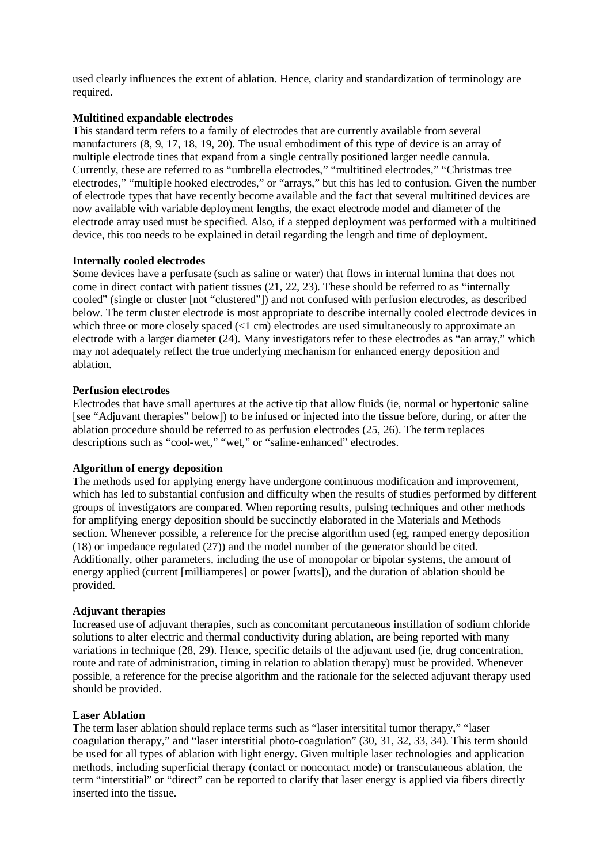used clearly influences the extent of ablation. Hence, clarity and standardization of terminology are required.

## **Multitined expandable electrodes**

This standard term refers to a family of electrodes that are currently available from several manufacturers [\(8,](http://www.jvir.org/article/PIIS105104430900308X/fulltext#bib8#bib8) [9,](http://www.jvir.org/article/PIIS105104430900308X/fulltext#bib9#bib9) [17,](http://www.jvir.org/article/PIIS105104430900308X/fulltext#bib17#bib17) [18,](http://www.jvir.org/article/PIIS105104430900308X/fulltext#bib18#bib18) [19,](http://www.jvir.org/article/PIIS105104430900308X/fulltext#bib19#bib19) [20\)](http://www.jvir.org/article/PIIS105104430900308X/fulltext#bib20#bib20). The usual embodiment of this type of device is an array of multiple electrode tines that expand from a single centrally positioned larger needle cannula. Currently, these are referred to as "umbrella electrodes," "multitined electrodes," "Christmas tree electrodes," "multiple hooked electrodes," or "arrays," but this has led to confusion. Given the number of electrode types that have recently become available and the fact that several multitined devices are now available with variable deployment lengths, the exact electrode model and diameter of the electrode array used must be specified. Also, if a stepped deployment was performed with a multitined device, this too needs to be explained in detail regarding the length and time of deployment.

## **Internally cooled electrodes**

Some devices have a perfusate (such as saline or water) that flows in internal lumina that does not come in direct contact with patient tissues [\(21,](http://www.jvir.org/article/PIIS105104430900308X/fulltext#bib21#bib21) [22,](http://www.jvir.org/article/PIIS105104430900308X/fulltext#bib22#bib22) [23\)](http://www.jvir.org/article/PIIS105104430900308X/fulltext#bib23#bib23). These should be referred to as "internally cooled" (single or cluster [not "clustered"]) and not confused with perfusion electrodes, as described below. The term cluster electrode is most appropriate to describe internally cooled electrode devices in which three or more closely spaced  $\ll 1$  cm) electrodes are used simultaneously to approximate an electrode with a larger diameter [\(24\)](http://www.jvir.org/article/PIIS105104430900308X/fulltext#bib24#bib24). Many investigators refer to these electrodes as "an array," which may not adequately reflect the true underlying mechanism for enhanced energy deposition and ablation.

## **Perfusion electrodes**

Electrodes that have small apertures at the active tip that allow fluids (ie, normal or hypertonic saline [see "Adjuvant therapies" below]) to be infused or injected into the tissue before, during, or after the ablation procedure should be referred to as perfusion electrodes [\(25,](http://www.jvir.org/article/PIIS105104430900308X/fulltext#bib25#bib25) [26\)](http://www.jvir.org/article/PIIS105104430900308X/fulltext#bib26#bib26). The term replaces descriptions such as "cool-wet," "wet," or "saline-enhanced" electrodes.

## **Algorithm of energy deposition**

The methods used for applying energy have undergone continuous modification and improvement, which has led to substantial confusion and difficulty when the results of studies performed by different groups of investigators are compared. When reporting results, pulsing techniques and other methods for amplifying energy deposition should be succinctly elaborated in the Materials and Methods section. Whenever possible, a reference for the precise algorithm used (eg, ramped energy deposition [\(18\)](http://www.jvir.org/article/PIIS105104430900308X/fulltext#bib18#bib18) or impedance regulated [\(27\)](http://www.jvir.org/article/PIIS105104430900308X/fulltext#bib27#bib27)) and the model number of the generator should be cited. Additionally, other parameters, including the use of monopolar or bipolar systems, the amount of energy applied (current [milliamperes] or power [watts]), and the duration of ablation should be provided.

## **Adjuvant therapies**

Increased use of adjuvant therapies, such as concomitant percutaneous instillation of sodium chloride solutions to alter electric and thermal conductivity during ablation, are being reported with many variations in technique [\(28,](http://www.jvir.org/article/PIIS105104430900308X/fulltext#bib28#bib28) [29\)](http://www.jvir.org/article/PIIS105104430900308X/fulltext#bib29#bib29). Hence, specific details of the adjuvant used (ie, drug concentration, route and rate of administration, timing in relation to ablation therapy) must be provided. Whenever possible, a reference for the precise algorithm and the rationale for the selected adjuvant therapy used should be provided.

## **Laser Ablation**

The term laser ablation should replace terms such as "laser intersitital tumor therapy," "laser coagulation therapy," and "laser interstitial photo-coagulation" [\(30,](http://www.jvir.org/article/PIIS105104430900308X/fulltext#bib30#bib30) [31,](http://www.jvir.org/article/PIIS105104430900308X/fulltext#bib31#bib31) [32,](http://www.jvir.org/article/PIIS105104430900308X/fulltext#bib32#bib32) [33,](http://www.jvir.org/article/PIIS105104430900308X/fulltext#bib33#bib33) [34\)](http://www.jvir.org/article/PIIS105104430900308X/fulltext#bib34#bib34). This term should be used for all types of ablation with light energy. Given multiple laser technologies and application methods, including superficial therapy (contact or noncontact mode) or transcutaneous ablation, the term "interstitial" or "direct" can be reported to clarify that laser energy is applied via fibers directly inserted into the tissue.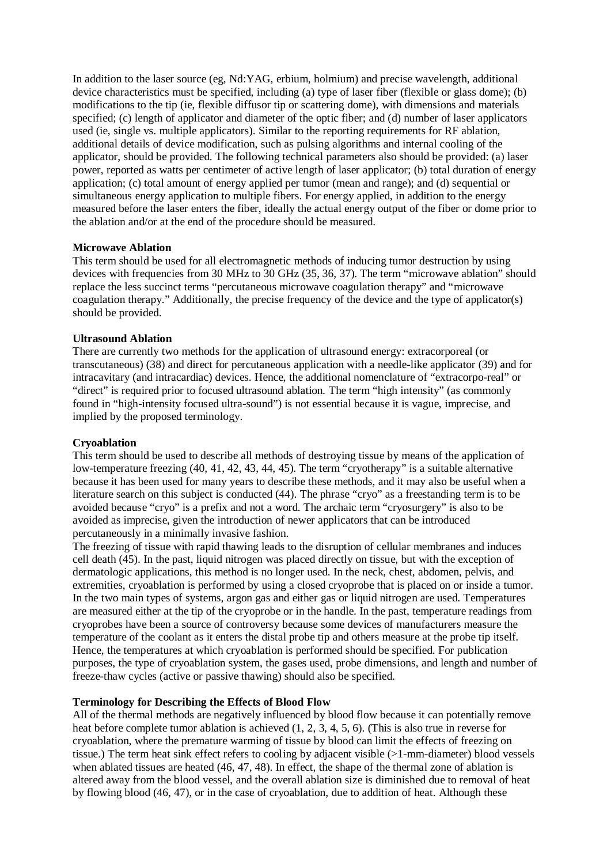In addition to the laser source (eg, Nd:YAG, erbium, holmium) and precise wavelength, additional device characteristics must be specified, including (a) type of laser fiber (flexible or glass dome); (b) modifications to the tip (ie, flexible diffusor tip or scattering dome), with dimensions and materials specified; (c) length of applicator and diameter of the optic fiber; and (d) number of laser applicators used (ie, single vs. multiple applicators). Similar to the reporting requirements for RF ablation, additional details of device modification, such as pulsing algorithms and internal cooling of the applicator, should be provided. The following technical parameters also should be provided: (a) laser power, reported as watts per centimeter of active length of laser applicator; (b) total duration of energy application; (c) total amount of energy applied per tumor (mean and range); and (d) sequential or simultaneous energy application to multiple fibers. For energy applied, in addition to the energy measured before the laser enters the fiber, ideally the actual energy output of the fiber or dome prior to the ablation and/or at the end of the procedure should be measured.

## **Microwave Ablation**

This term should be used for all electromagnetic methods of inducing tumor destruction by using devices with frequencies from 30 MHz to 30 GHz [\(35,](http://www.jvir.org/article/PIIS105104430900308X/fulltext#bib35#bib35) [36,](http://www.jvir.org/article/PIIS105104430900308X/fulltext#bib36#bib36) [37\)](http://www.jvir.org/article/PIIS105104430900308X/fulltext#bib37#bib37). The term "microwave ablation" should replace the less succinct terms "percutaneous microwave coagulation therapy" and "microwave coagulation therapy." Additionally, the precise frequency of the device and the type of applicator(s) should be provided.

## **Ultrasound Ablation**

There are currently two methods for the application of ultrasound energy: extracorporeal (or transcutaneous) [\(38\)](http://www.jvir.org/article/PIIS105104430900308X/fulltext#bib38#bib38) and direct for percutaneous application with a needle-like applicator [\(39\)](http://www.jvir.org/article/PIIS105104430900308X/fulltext#bib39#bib39) and for intracavitary (and intracardiac) devices. Hence, the additional nomenclature of "extracorpo-real" or "direct" is required prior to focused ultrasound ablation. The term "high intensity" (as commonly found in "high-intensity focused ultra-sound") is not essential because it is vague, imprecise, and implied by the proposed terminology.

## **Cryoablation**

This term should be used to describe all methods of destroying tissue by means of the application of low-temperature freezing [\(40,](http://www.jvir.org/article/PIIS105104430900308X/fulltext#bib40#bib40) [41,](http://www.jvir.org/article/PIIS105104430900308X/fulltext#bib41#bib41) [42,](http://www.jvir.org/article/PIIS105104430900308X/fulltext#bib42#bib42) [43,](http://www.jvir.org/article/PIIS105104430900308X/fulltext#bib43#bib43) [44,](http://www.jvir.org/article/PIIS105104430900308X/fulltext#bib44#bib44) [45\)](http://www.jvir.org/article/PIIS105104430900308X/fulltext#bib45#bib45). The term "cryotherapy" is a suitable alternative because it has been used for many years to describe these methods, and it may also be useful when a literature search on this subject is conducted [\(44\)](http://www.jvir.org/article/PIIS105104430900308X/fulltext#bib44#bib44). The phrase "cryo" as a freestanding term is to be avoided because "cryo" is a prefix and not a word. The archaic term "cryosurgery" is also to be avoided as imprecise, given the introduction of newer applicators that can be introduced percutaneously in a minimally invasive fashion.

The freezing of tissue with rapid thawing leads to the disruption of cellular membranes and induces cell death [\(45\)](http://www.jvir.org/article/PIIS105104430900308X/fulltext#bib45#bib45). In the past, liquid nitrogen was placed directly on tissue, but with the exception of dermatologic applications, this method is no longer used. In the neck, chest, abdomen, pelvis, and extremities, cryoablation is performed by using a closed cryoprobe that is placed on or inside a tumor. In the two main types of systems, argon gas and either gas or liquid nitrogen are used. Temperatures are measured either at the tip of the cryoprobe or in the handle. In the past, temperature readings from cryoprobes have been a source of controversy because some devices of manufacturers measure the temperature of the coolant as it enters the distal probe tip and others measure at the probe tip itself. Hence, the temperatures at which cryoablation is performed should be specified. For publication purposes, the type of cryoablation system, the gases used, probe dimensions, and length and number of freeze-thaw cycles (active or passive thawing) should also be specified.

## **Terminology for Describing the Effects of Blood Flow**

All of the thermal methods are negatively influenced by blood flow because it can potentially remove heat before complete tumor ablation is achieved [\(1,](http://www.jvir.org/article/PIIS105104430900308X/fulltext#bib1#bib1) [2,](http://www.jvir.org/article/PIIS105104430900308X/fulltext#bib2#bib2) [3,](http://www.jvir.org/article/PIIS105104430900308X/fulltext#bib3#bib3) [4,](http://www.jvir.org/article/PIIS105104430900308X/fulltext#bib4#bib4) [5,](http://www.jvir.org/article/PIIS105104430900308X/fulltext#bib5#bib5) [6\)](http://www.jvir.org/article/PIIS105104430900308X/fulltext#bib6#bib6). (This is also true in reverse for cryoablation, where the premature warming of tissue by blood can limit the effects of freezing on tissue.) The term heat sink effect refers to cooling by adjacent visible (>1-mm-diameter) blood vessels when ablated tissues are heated [\(46,](http://www.jvir.org/article/PIIS105104430900308X/fulltext#bib46#bib46) [47,](http://www.jvir.org/article/PIIS105104430900308X/fulltext#bib47#bib47) [48\)](http://www.jvir.org/article/PIIS105104430900308X/fulltext#bib48#bib48). In effect, the shape of the thermal zone of ablation is altered away from the blood vessel, and the overall ablation size is diminished due to removal of heat by flowing blood [\(46,](http://www.jvir.org/article/PIIS105104430900308X/fulltext#bib46#bib46) [47\)](http://www.jvir.org/article/PIIS105104430900308X/fulltext#bib47#bib47), or in the case of cryoablation, due to addition of heat. Although these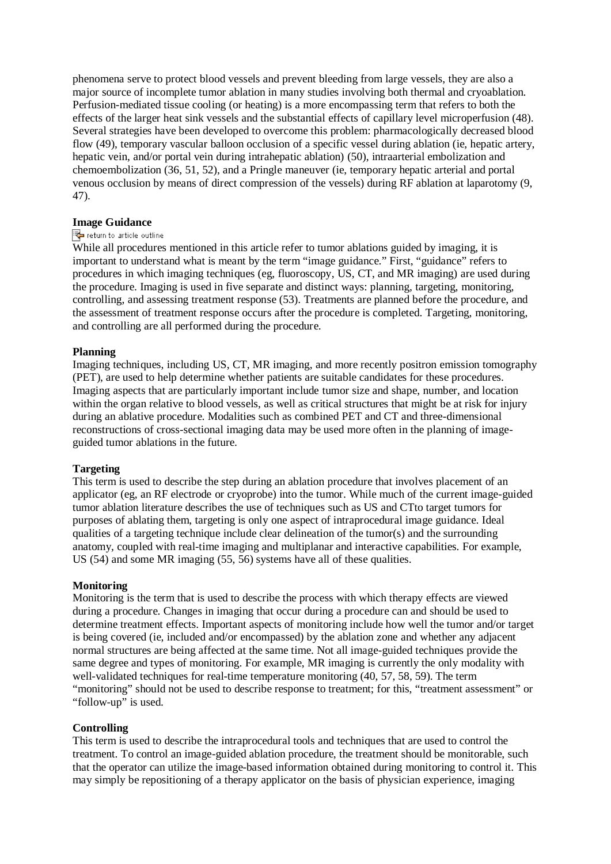phenomena serve to protect blood vessels and prevent bleeding from large vessels, they are also a major source of incomplete tumor ablation in many studies involving both thermal and cryoablation. Perfusion-mediated tissue cooling (or heating) is a more encompassing term that refers to both the effects of the larger heat sink vessels and the substantial effects of capillary level microperfusion [\(48\)](http://www.jvir.org/article/PIIS105104430900308X/fulltext#bib48#bib48). Several strategies have been developed to overcome this problem: pharmacologically decreased blood flow [\(49\)](http://www.jvir.org/article/PIIS105104430900308X/fulltext#bib49#bib49), temporary vascular balloon occlusion of a specific vessel during ablation (ie, hepatic artery, hepatic vein, and/or portal vein during intrahepatic ablation) [\(50\)](http://www.jvir.org/article/PIIS105104430900308X/fulltext#bib50#bib50), intraarterial embolization and chemoembolization [\(36,](http://www.jvir.org/article/PIIS105104430900308X/fulltext#bib36#bib36) [51,](http://www.jvir.org/article/PIIS105104430900308X/fulltext#bib51#bib51) [52\)](http://www.jvir.org/article/PIIS105104430900308X/fulltext#bib52#bib52), and a Pringle maneuver (ie, temporary hepatic arterial and portal venous occlusion by means of direct compression of the vessels) during RF ablation at laparotomy [\(9,](http://www.jvir.org/article/PIIS105104430900308X/fulltext#bib9#bib9) [47\)](http://www.jvir.org/article/PIIS105104430900308X/fulltext#bib47#bib47).

## **Image Guidance**

## **B** return to article outline

While all procedures mentioned in this article refer to tumor ablations guided by imaging, it is important to understand what is meant by the term "image guidance." First, "guidance" refers to procedures in which imaging techniques (eg, fluoroscopy, US, CT, and MR imaging) are used during the procedure. Imaging is used in five separate and distinct ways: planning, targeting, monitoring, controlling, and assessing treatment response [\(53\)](http://www.jvir.org/article/PIIS105104430900308X/fulltext#bib53#bib53). Treatments are planned before the procedure, and the assessment of treatment response occurs after the procedure is completed. Targeting, monitoring, and controlling are all performed during the procedure.

## **Planning**

Imaging techniques, including US, CT, MR imaging, and more recently positron emission tomography (PET), are used to help determine whether patients are suitable candidates for these procedures. Imaging aspects that are particularly important include tumor size and shape, number, and location within the organ relative to blood vessels, as well as critical structures that might be at risk for injury during an ablative procedure. Modalities such as combined PET and CT and three-dimensional reconstructions of cross-sectional imaging data may be used more often in the planning of imageguided tumor ablations in the future.

## **Targeting**

This term is used to describe the step during an ablation procedure that involves placement of an applicator (eg, an RF electrode or cryoprobe) into the tumor. While much of the current image-guided tumor ablation literature describes the use of techniques such as US and CTto target tumors for purposes of ablating them, targeting is only one aspect of intraprocedural image guidance. Ideal qualities of a targeting technique include clear delineation of the tumor(s) and the surrounding anatomy, coupled with real-time imaging and multiplanar and interactive capabilities. For example, US [\(54\)](http://www.jvir.org/article/PIIS105104430900308X/fulltext#bib54#bib54) and some MR imaging [\(55,](http://www.jvir.org/article/PIIS105104430900308X/fulltext#bib55#bib55) [56\)](http://www.jvir.org/article/PIIS105104430900308X/fulltext#bib56#bib56) systems have all of these qualities.

## **Monitoring**

Monitoring is the term that is used to describe the process with which therapy effects are viewed during a procedure. Changes in imaging that occur during a procedure can and should be used to determine treatment effects. Important aspects of monitoring include how well the tumor and/or target is being covered (ie, included and/or encompassed) by the ablation zone and whether any adjacent normal structures are being affected at the same time. Not all image-guided techniques provide the same degree and types of monitoring. For example, MR imaging is currently the only modality with well-validated techniques for real-time temperature monitoring [\(40,](http://www.jvir.org/article/PIIS105104430900308X/fulltext#bib40#bib40) [57,](http://www.jvir.org/article/PIIS105104430900308X/fulltext#bib57#bib57) [58,](http://www.jvir.org/article/PIIS105104430900308X/fulltext#bib58#bib58) [59\)](http://www.jvir.org/article/PIIS105104430900308X/fulltext#bib59#bib59). The term "monitoring" should not be used to describe response to treatment; for this, "treatment assessment" or "follow-up" is used.

## **Controlling**

This term is used to describe the intraprocedural tools and techniques that are used to control the treatment. To control an image-guided ablation procedure, the treatment should be monitorable, such that the operator can utilize the image-based information obtained during monitoring to control it. This may simply be repositioning of a therapy applicator on the basis of physician experience, imaging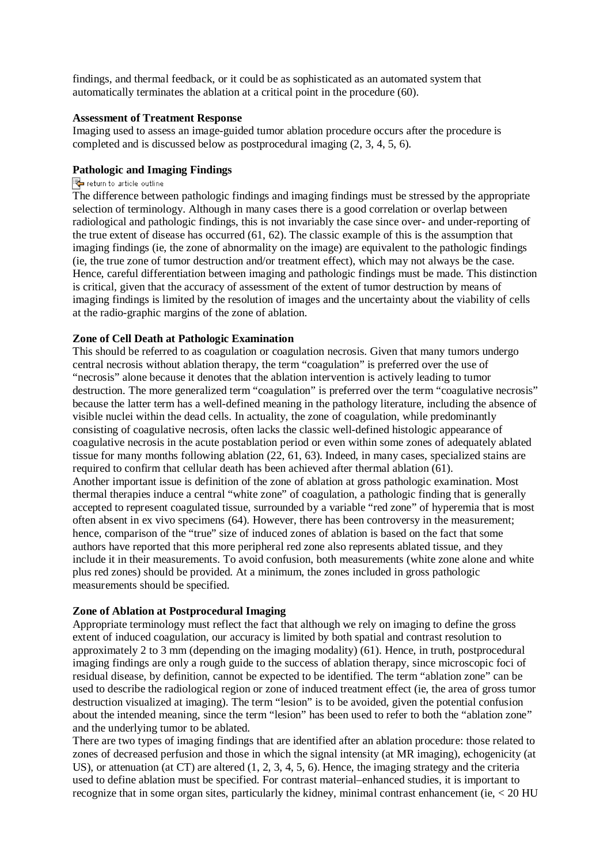findings, and thermal feedback, or it could be as sophisticated as an automated system that automatically terminates the ablation at a critical point in the procedure [\(60\)](http://www.jvir.org/article/PIIS105104430900308X/fulltext#bib60#bib60).

## **Assessment of Treatment Response**

Imaging used to assess an image-guided tumor ablation procedure occurs after the procedure is completed and is discussed below as postprocedural imaging [\(2,](http://www.jvir.org/article/PIIS105104430900308X/fulltext#bib2#bib2) [3,](http://www.jvir.org/article/PIIS105104430900308X/fulltext#bib3#bib3) [4,](http://www.jvir.org/article/PIIS105104430900308X/fulltext#bib4#bib4) [5,](http://www.jvir.org/article/PIIS105104430900308X/fulltext#bib5#bib5) [6\)](http://www.jvir.org/article/PIIS105104430900308X/fulltext#bib6#bib6).

## **Pathologic and Imaging Findings**

## For return to article outline

The difference between pathologic findings and imaging findings must be stressed by the appropriate selection of terminology. Although in many cases there is a good correlation or overlap between radiological and pathologic findings, this is not invariably the case since over- and under-reporting of the true extent of disease has occurred [\(61,](http://www.jvir.org/article/PIIS105104430900308X/fulltext#bib61#bib61) [62\)](http://www.jvir.org/article/PIIS105104430900308X/fulltext#bib62#bib62). The classic example of this is the assumption that imaging findings (ie, the zone of abnormality on the image) are equivalent to the pathologic findings (ie, the true zone of tumor destruction and/or treatment effect), which may not always be the case. Hence, careful differentiation between imaging and pathologic findings must be made. This distinction is critical, given that the accuracy of assessment of the extent of tumor destruction by means of imaging findings is limited by the resolution of images and the uncertainty about the viability of cells at the radio-graphic margins of the zone of ablation.

## **Zone of Cell Death at Pathologic Examination**

This should be referred to as coagulation or coagulation necrosis. Given that many tumors undergo central necrosis without ablation therapy, the term "coagulation" is preferred over the use of "necrosis" alone because it denotes that the ablation intervention is actively leading to tumor destruction. The more generalized term "coagulation" is preferred over the term "coagulative necrosis" because the latter term has a well-defined meaning in the pathology literature, including the absence of visible nuclei within the dead cells. In actuality, the zone of coagulation, while predominantly consisting of coagulative necrosis, often lacks the classic well-defined histologic appearance of coagulative necrosis in the acute postablation period or even within some zones of adequately ablated tissue for many months following ablation [\(22,](http://www.jvir.org/article/PIIS105104430900308X/fulltext#bib22#bib22) [61,](http://www.jvir.org/article/PIIS105104430900308X/fulltext#bib61#bib61) [63\)](http://www.jvir.org/article/PIIS105104430900308X/fulltext#bib63#bib63). Indeed, in many cases, specialized stains are required to confirm that cellular death has been achieved after thermal ablation [\(61\)](http://www.jvir.org/article/PIIS105104430900308X/fulltext#bib61#bib61). Another important issue is definition of the zone of ablation at gross pathologic examination. Most thermal therapies induce a central "white zone" of coagulation, a pathologic finding that is generally accepted to represent coagulated tissue, surrounded by a variable "red zone" of hyperemia that is most often absent in ex vivo specimens [\(64\)](http://www.jvir.org/article/PIIS105104430900308X/fulltext#bib64#bib64). However, there has been controversy in the measurement; hence, comparison of the "true" size of induced zones of ablation is based on the fact that some authors have reported that this more peripheral red zone also represents ablated tissue, and they include it in their measurements. To avoid confusion, both measurements (white zone alone and white plus red zones) should be provided. At a minimum, the zones included in gross pathologic measurements should be specified.

## **Zone of Ablation at Postprocedural Imaging**

Appropriate terminology must reflect the fact that although we rely on imaging to define the gross extent of induced coagulation, our accuracy is limited by both spatial and contrast resolution to approximately 2 to 3 mm (depending on the imaging modality) [\(61\)](http://www.jvir.org/article/PIIS105104430900308X/fulltext#bib61#bib61). Hence, in truth, postprocedural imaging findings are only a rough guide to the success of ablation therapy, since microscopic foci of residual disease, by definition, cannot be expected to be identified. The term "ablation zone" can be used to describe the radiological region or zone of induced treatment effect (ie, the area of gross tumor destruction visualized at imaging). The term "lesion" is to be avoided, given the potential confusion about the intended meaning, since the term "lesion" has been used to refer to both the "ablation zone" and the underlying tumor to be ablated.

There are two types of imaging findings that are identified after an ablation procedure: those related to zones of decreased perfusion and those in which the signal intensity (at MR imaging), echogenicity (at US), or attenuation (at CT) are altered [\(1,](http://www.jvir.org/article/PIIS105104430900308X/fulltext#bib1#bib1) [2,](http://www.jvir.org/article/PIIS105104430900308X/fulltext#bib2#bib2) [3,](http://www.jvir.org/article/PIIS105104430900308X/fulltext#bib3#bib3) [4,](http://www.jvir.org/article/PIIS105104430900308X/fulltext#bib4#bib4) [5,](http://www.jvir.org/article/PIIS105104430900308X/fulltext#bib5#bib5) [6\)](http://www.jvir.org/article/PIIS105104430900308X/fulltext#bib6#bib6). Hence, the imaging strategy and the criteria used to define ablation must be specified. For contrast material–enhanced studies, it is important to recognize that in some organ sites, particularly the kidney, minimal contrast enhancement (ie, < 20 HU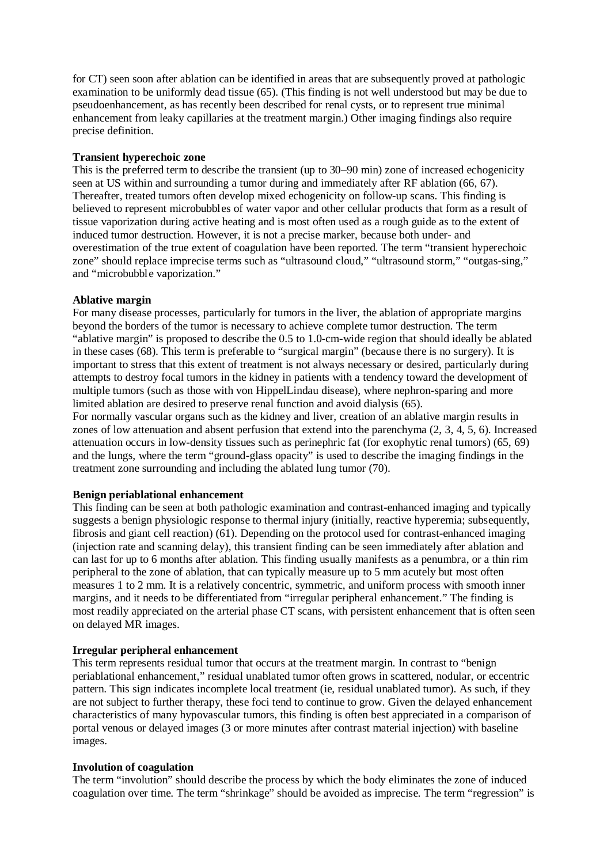for CT) seen soon after ablation can be identified in areas that are subsequently proved at pathologic examination to be uniformly dead tissue [\(65\)](http://www.jvir.org/article/PIIS105104430900308X/fulltext#bib65#bib65). (This finding is not well understood but may be due to pseudoenhancement, as has recently been described for renal cysts, or to represent true minimal enhancement from leaky capillaries at the treatment margin.) Other imaging findings also require precise definition.

## **Transient hyperechoic zone**

This is the preferred term to describe the transient (up to 30–90 min) zone of increased echogenicity seen at US within and surrounding a tumor during and immediately after RF ablation [\(66,](http://www.jvir.org/article/PIIS105104430900308X/fulltext#bib66#bib66) [67\)](http://www.jvir.org/article/PIIS105104430900308X/fulltext#bib67#bib67). Thereafter, treated tumors often develop mixed echogenicity on follow-up scans. This finding is believed to represent microbubbles of water vapor and other cellular products that form as a result of tissue vaporization during active heating and is most often used as a rough guide as to the extent of induced tumor destruction. However, it is not a precise marker, because both under- and overestimation of the true extent of coagulation have been reported. The term "transient hyperechoic zone" should replace imprecise terms such as "ultrasound cloud," "ultrasound storm," "outgas-sing," and "microbubble vaporization."

## **Ablative margin**

For many disease processes, particularly for tumors in the liver, the ablation of appropriate margins beyond the borders of the tumor is necessary to achieve complete tumor destruction. The term "ablative margin" is proposed to describe the 0.5 to 1.0-cm-wide region that should ideally be ablated in these cases [\(68\)](http://www.jvir.org/article/PIIS105104430900308X/fulltext#bib68#bib68). This term is preferable to "surgical margin" (because there is no surgery). It is important to stress that this extent of treatment is not always necessary or desired, particularly during attempts to destroy focal tumors in the kidney in patients with a tendency toward the development of multiple tumors (such as those with von HippelLindau disease), where nephron-sparing and more limited ablation are desired to preserve renal function and avoid dialysis [\(65\)](http://www.jvir.org/article/PIIS105104430900308X/fulltext#bib65#bib65).

For normally vascular organs such as the kidney and liver, creation of an ablative margin results in zones of low attenuation and absent perfusion that extend into the parenchyma [\(2,](http://www.jvir.org/article/PIIS105104430900308X/fulltext#bib2#bib2) [3,](http://www.jvir.org/article/PIIS105104430900308X/fulltext#bib3#bib3) [4,](http://www.jvir.org/article/PIIS105104430900308X/fulltext#bib4#bib4) [5,](http://www.jvir.org/article/PIIS105104430900308X/fulltext#bib5#bib5) [6\)](http://www.jvir.org/article/PIIS105104430900308X/fulltext#bib6#bib6). Increased attenuation occurs in low-density tissues such as perinephric fat (for exophytic renal tumors) [\(65,](http://www.jvir.org/article/PIIS105104430900308X/fulltext#bib65#bib65) [69\)](http://www.jvir.org/article/PIIS105104430900308X/fulltext#bib69#bib69) and the lungs, where the term "ground-glass opacity" is used to describe the imaging findings in the treatment zone surrounding and including the ablated lung tumor [\(70\)](http://www.jvir.org/article/PIIS105104430900308X/fulltext#bib70#bib70).

## **Benign periablational enhancement**

This finding can be seen at both pathologic examination and contrast-enhanced imaging and typically suggests a benign physiologic response to thermal injury (initially, reactive hyperemia; subsequently, fibrosis and giant cell reaction) [\(61\)](http://www.jvir.org/article/PIIS105104430900308X/fulltext#bib61#bib61). Depending on the protocol used for contrast-enhanced imaging (injection rate and scanning delay), this transient finding can be seen immediately after ablation and can last for up to 6 months after ablation. This finding usually manifests as a penumbra, or a thin rim peripheral to the zone of ablation, that can typically measure up to 5 mm acutely but most often measures 1 to 2 mm. It is a relatively concentric, symmetric, and uniform process with smooth inner margins, and it needs to be differentiated from "irregular peripheral enhancement." The finding is most readily appreciated on the arterial phase CT scans, with persistent enhancement that is often seen on delayed MR images.

## **Irregular peripheral enhancement**

This term represents residual tumor that occurs at the treatment margin. In contrast to "benign periablational enhancement," residual unablated tumor often grows in scattered, nodular, or eccentric pattern. This sign indicates incomplete local treatment (ie, residual unablated tumor). As such, if they are not subject to further therapy, these foci tend to continue to grow. Given the delayed enhancement characteristics of many hypovascular tumors, this finding is often best appreciated in a comparison of portal venous or delayed images (3 or more minutes after contrast material injection) with baseline images.

## **Involution of coagulation**

The term "involution" should describe the process by which the body eliminates the zone of induced coagulation over time. The term "shrinkage" should be avoided as imprecise. The term "regression" is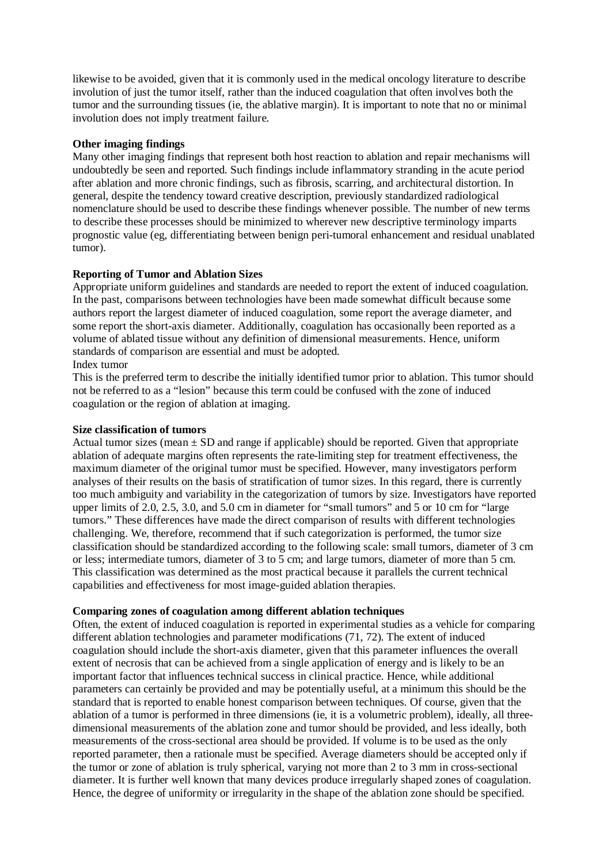likewise to be avoided, given that it is commonly used in the medical oncology literature to describe involution of just the tumor itself, rather than the induced coagulation that often involves both the tumor and the surrounding tissues (ie, the ablative margin). It is important to note that no or minimal involution does not imply treatment failure.

## **Other imaging findings**

Many other imaging findings that represent both host reaction to ablation and repair mechanisms will undoubtedly be seen and reported. Such findings include inflammatory stranding in the acute period after ablation and more chronic findings, such as fibrosis, scarring, and architectural distortion. In general, despite the tendency toward creative description, previously standardized radiological nomenclature should be used to describe these findings whenever possible. The number of new terms to describe these processes should be minimized to wherever new descriptive terminology imparts prognostic value (eg, differentiating between benign peri-tumoral enhancement and residual unablated tumor).

## **Reporting of Tumor and Ablation Sizes**

Appropriate uniform guidelines and standards are needed to report the extent of induced coagulation. In the past, comparisons between technologies have been made somewhat difficult because some authors report the largest diameter of induced coagulation, some report the average diameter, and some report the short-axis diameter. Additionally, coagulation has occasionally been reported as a volume of ablated tissue without any definition of dimensional measurements. Hence, uniform standards of comparison are essential and must be adopted.

## Index tumor

This is the preferred term to describe the initially identified tumor prior to ablation. This tumor should not be referred to as a "lesion" because this term could be confused with the zone of induced coagulation or the region of ablation at imaging.

## **Size classification of tumors**

Actual tumor sizes (mean  $\pm$  SD and range if applicable) should be reported. Given that appropriate ablation of adequate margins often represents the rate-limiting step for treatment effectiveness, the maximum diameter of the original tumor must be specified. However, many investigators perform analyses of their results on the basis of stratification of tumor sizes. In this regard, there is currently too much ambiguity and variability in the categorization of tumors by size. Investigators have reported upper limits of 2.0, 2.5, 3.0, and 5.0 cm in diameter for "small tumors" and 5 or 10 cm for "large tumors." These differences have made the direct comparison of results with different technologies challenging. We, therefore, recommend that if such categorization is performed, the tumor size classification should be standardized according to the following scale: small tumors, diameter of 3 cm or less; intermediate tumors, diameter of 3 to 5 cm; and large tumors, diameter of more than 5 cm. This classification was determined as the most practical because it parallels the current technical capabilities and effectiveness for most image-guided ablation therapies.

## **Comparing zones of coagulation among different ablation techniques**

Often, the extent of induced coagulation is reported in experimental studies as a vehicle for comparing different ablation technologies and parameter modifications [\(71,](http://www.jvir.org/article/PIIS105104430900308X/fulltext#bib71#bib71) [72\)](http://www.jvir.org/article/PIIS105104430900308X/fulltext#bib72#bib72). The extent of induced coagulation should include the short-axis diameter, given that this parameter influences the overall extent of necrosis that can be achieved from a single application of energy and is likely to be an important factor that influences technical success in clinical practice. Hence, while additional parameters can certainly be provided and may be potentially useful, at a minimum this should be the standard that is reported to enable honest comparison between techniques. Of course, given that the ablation of a tumor is performed in three dimensions (ie, it is a volumetric problem), ideally, all threedimensional measurements of the ablation zone and tumor should be provided, and less ideally, both measurements of the cross-sectional area should be provided. If volume is to be used as the only reported parameter, then a rationale must be specified. Average diameters should be accepted only if the tumor or zone of ablation is truly spherical, varying not more than 2 to 3 mm in cross-sectional diameter. It is further well known that many devices produce irregularly shaped zones of coagulation. Hence, the degree of uniformity or irregularity in the shape of the ablation zone should be specified.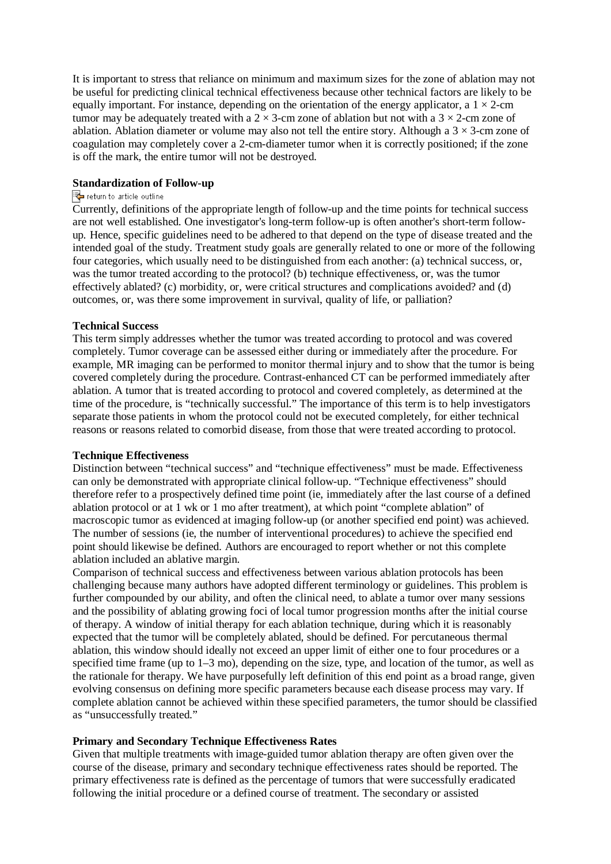It is important to stress that reliance on minimum and maximum sizes for the zone of ablation may not be useful for predicting clinical technical effectiveness because other technical factors are likely to be equally important. For instance, depending on the orientation of the energy applicator, a  $1 \times 2$ -cm tumor may be adequately treated with a  $2 \times 3$ -cm zone of ablation but not with a  $3 \times 2$ -cm zone of ablation. Ablation diameter or volume may also not tell the entire story. Although a  $3 \times 3$ -cm zone of coagulation may completely cover a 2-cm-diameter tumor when it is correctly positioned; if the zone is off the mark, the entire tumor will not be destroyed.

## **Standardization of Follow-up**

## **B** return to article outline

Currently, definitions of the appropriate length of follow-up and the time points for technical success are not well established. One investigator's long-term follow-up is often another's short-term followup. Hence, specific guidelines need to be adhered to that depend on the type of disease treated and the intended goal of the study. Treatment study goals are generally related to one or more of the following four categories, which usually need to be distinguished from each another: (a) technical success, or, was the tumor treated according to the protocol? (b) technique effectiveness, or, was the tumor effectively ablated? (c) morbidity, or, were critical structures and complications avoided? and (d) outcomes, or, was there some improvement in survival, quality of life, or palliation?

## **Technical Success**

This term simply addresses whether the tumor was treated according to protocol and was covered completely. Tumor coverage can be assessed either during or immediately after the procedure. For example, MR imaging can be performed to monitor thermal injury and to show that the tumor is being covered completely during the procedure. Contrast-enhanced CT can be performed immediately after ablation. A tumor that is treated according to protocol and covered completely, as determined at the time of the procedure, is "technically successful." The importance of this term is to help investigators separate those patients in whom the protocol could not be executed completely, for either technical reasons or reasons related to comorbid disease, from those that were treated according to protocol.

## **Technique Effectiveness**

Distinction between "technical success" and "technique effectiveness" must be made. Effectiveness can only be demonstrated with appropriate clinical follow-up. "Technique effectiveness" should therefore refer to a prospectively defined time point (ie, immediately after the last course of a defined ablation protocol or at 1 wk or 1 mo after treatment), at which point "complete ablation" of macroscopic tumor as evidenced at imaging follow-up (or another specified end point) was achieved. The number of sessions (ie, the number of interventional procedures) to achieve the specified end point should likewise be defined. Authors are encouraged to report whether or not this complete ablation included an ablative margin.

Comparison of technical success and effectiveness between various ablation protocols has been challenging because many authors have adopted different terminology or guidelines. This problem is further compounded by our ability, and often the clinical need, to ablate a tumor over many sessions and the possibility of ablating growing foci of local tumor progression months after the initial course of therapy. A window of initial therapy for each ablation technique, during which it is reasonably expected that the tumor will be completely ablated, should be defined. For percutaneous thermal ablation, this window should ideally not exceed an upper limit of either one to four procedures or a specified time frame (up to  $1-3$  mo), depending on the size, type, and location of the tumor, as well as the rationale for therapy. We have purposefully left definition of this end point as a broad range, given evolving consensus on defining more specific parameters because each disease process may vary. If complete ablation cannot be achieved within these specified parameters, the tumor should be classified as "unsuccessfully treated."

## **Primary and Secondary Technique Effectiveness Rates**

Given that multiple treatments with image-guided tumor ablation therapy are often given over the course of the disease, primary and secondary technique effectiveness rates should be reported. The primary effectiveness rate is defined as the percentage of tumors that were successfully eradicated following the initial procedure or a defined course of treatment. The secondary or assisted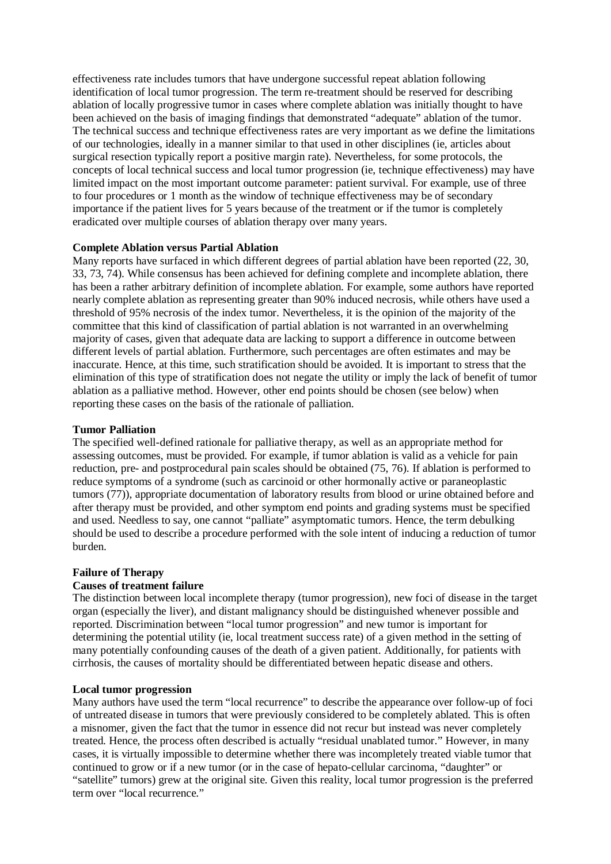effectiveness rate includes tumors that have undergone successful repeat ablation following identification of local tumor progression. The term re-treatment should be reserved for describing ablation of locally progressive tumor in cases where complete ablation was initially thought to have been achieved on the basis of imaging findings that demonstrated "adequate" ablation of the tumor. The technical success and technique effectiveness rates are very important as we define the limitations of our technologies, ideally in a manner similar to that used in other disciplines (ie, articles about surgical resection typically report a positive margin rate). Nevertheless, for some protocols, the concepts of local technical success and local tumor progression (ie, technique effectiveness) may have limited impact on the most important outcome parameter: patient survival. For example, use of three to four procedures or 1 month as the window of technique effectiveness may be of secondary importance if the patient lives for 5 years because of the treatment or if the tumor is completely eradicated over multiple courses of ablation therapy over many years.

## **Complete Ablation versus Partial Ablation**

Many reports have surfaced in which different degrees of partial ablation have been reported [\(22,](http://www.jvir.org/article/PIIS105104430900308X/fulltext#bib22#bib22) [30,](http://www.jvir.org/article/PIIS105104430900308X/fulltext#bib30#bib30) [33,](http://www.jvir.org/article/PIIS105104430900308X/fulltext#bib33#bib33) [73,](http://www.jvir.org/article/PIIS105104430900308X/fulltext#bib73#bib73) [74\)](http://www.jvir.org/article/PIIS105104430900308X/fulltext#bib74#bib74). While consensus has been achieved for defining complete and incomplete ablation, there has been a rather arbitrary definition of incomplete ablation. For example, some authors have reported nearly complete ablation as representing greater than 90% induced necrosis, while others have used a threshold of 95% necrosis of the index tumor. Nevertheless, it is the opinion of the majority of the committee that this kind of classification of partial ablation is not warranted in an overwhelming majority of cases, given that adequate data are lacking to support a difference in outcome between different levels of partial ablation. Furthermore, such percentages are often estimates and may be inaccurate. Hence, at this time, such stratification should be avoided. It is important to stress that the elimination of this type of stratification does not negate the utility or imply the lack of benefit of tumor ablation as a palliative method. However, other end points should be chosen (see below) when reporting these cases on the basis of the rationale of palliation.

## **Tumor Palliation**

The specified well-defined rationale for palliative therapy, as well as an appropriate method for assessing outcomes, must be provided. For example, if tumor ablation is valid as a vehicle for pain reduction, pre- and postprocedural pain scales should be obtained [\(75,](http://www.jvir.org/article/PIIS105104430900308X/fulltext#bib75#bib75) [76\)](http://www.jvir.org/article/PIIS105104430900308X/fulltext#bib76#bib76). If ablation is performed to reduce symptoms of a syndrome (such as carcinoid or other hormonally active or paraneoplastic tumors [\(77\)](http://www.jvir.org/article/PIIS105104430900308X/fulltext#bib77#bib77)), appropriate documentation of laboratory results from blood or urine obtained before and after therapy must be provided, and other symptom end points and grading systems must be specified and used. Needless to say, one cannot "palliate" asymptomatic tumors. Hence, the term debulking should be used to describe a procedure performed with the sole intent of inducing a reduction of tumor burden.

## **Failure of Therapy**

## **Causes of treatment failure**

The distinction between local incomplete therapy (tumor progression), new foci of disease in the target organ (especially the liver), and distant malignancy should be distinguished whenever possible and reported. Discrimination between "local tumor progression" and new tumor is important for determining the potential utility (ie, local treatment success rate) of a given method in the setting of many potentially confounding causes of the death of a given patient. Additionally, for patients with cirrhosis, the causes of mortality should be differentiated between hepatic disease and others.

## **Local tumor progression**

Many authors have used the term "local recurrence" to describe the appearance over follow-up of foci of untreated disease in tumors that were previously considered to be completely ablated. This is often a misnomer, given the fact that the tumor in essence did not recur but instead was never completely treated. Hence, the process often described is actually "residual unablated tumor." However, in many cases, it is virtually impossible to determine whether there was incompletely treated viable tumor that continued to grow or if a new tumor (or in the case of hepato-cellular carcinoma, "daughter" or "satellite" tumors) grew at the original site. Given this reality, local tumor progression is the preferred term over "local recurrence."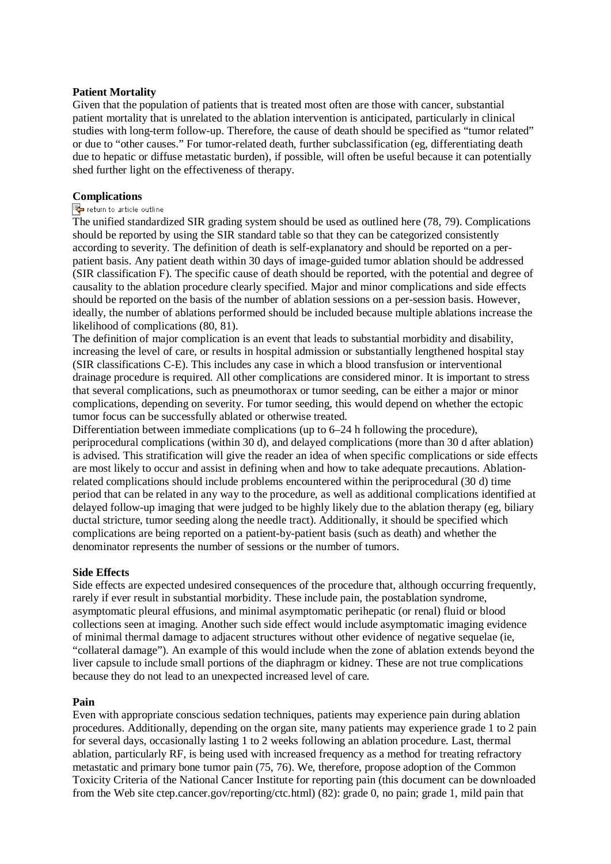## **Patient Mortality**

Given that the population of patients that is treated most often are those with cancer, substantial patient mortality that is unrelated to the ablation intervention is anticipated, particularly in clinical studies with long-term follow-up. Therefore, the cause of death should be specified as "tumor related" or due to "other causes." For tumor-related death, further subclassification (eg, differentiating death due to hepatic or diffuse metastatic burden), if possible, will often be useful because it can potentially shed further light on the effectiveness of therapy.

# **Complications**<br>**Exercit constructs** outline

The unified standardized SIR grading system should be used as outlined here [\(78,](http://www.jvir.org/article/PIIS105104430900308X/fulltext#bib78#bib78) [79\)](http://www.jvir.org/article/PIIS105104430900308X/fulltext#bib79#bib79). Complications should be reported by using the SIR standard table so that they can be categorized consistently according to severity. The definition of death is self-explanatory and should be reported on a perpatient basis. Any patient death within 30 days of image-guided tumor ablation should be addressed (SIR classification F). The specific cause of death should be reported, with the potential and degree of causality to the ablation procedure clearly specified. Major and minor complications and side effects should be reported on the basis of the number of ablation sessions on a per-session basis. However, ideally, the number of ablations performed should be included because multiple ablations increase the likelihood of complications [\(80,](http://www.jvir.org/article/PIIS105104430900308X/fulltext#bib80#bib80) [81\)](http://www.jvir.org/article/PIIS105104430900308X/fulltext#bib81#bib81).

The definition of major complication is an event that leads to substantial morbidity and disability, increasing the level of care, or results in hospital admission or substantially lengthened hospital stay (SIR classifications C-E). This includes any case in which a blood transfusion or interventional drainage procedure is required. All other complications are considered minor. It is important to stress that several complications, such as pneumothorax or tumor seeding, can be either a major or minor complications, depending on severity. For tumor seeding, this would depend on whether the ectopic tumor focus can be successfully ablated or otherwise treated.

Differentiation between immediate complications (up to 6–24 h following the procedure), periprocedural complications (within 30 d), and delayed complications (more than 30 d after ablation) is advised. This stratification will give the reader an idea of when specific complications or side effects are most likely to occur and assist in defining when and how to take adequate precautions. Ablationrelated complications should include problems encountered within the periprocedural (30 d) time period that can be related in any way to the procedure, as well as additional complications identified at delayed follow-up imaging that were judged to be highly likely due to the ablation therapy (eg, biliary ductal stricture, tumor seeding along the needle tract). Additionally, it should be specified which complications are being reported on a patient-by-patient basis (such as death) and whether the denominator represents the number of sessions or the number of tumors.

## **Side Effects**

Side effects are expected undesired consequences of the procedure that, although occurring frequently, rarely if ever result in substantial morbidity. These include pain, the postablation syndrome, asymptomatic pleural effusions, and minimal asymptomatic perihepatic (or renal) fluid or blood collections seen at imaging. Another such side effect would include asymptomatic imaging evidence of minimal thermal damage to adjacent structures without other evidence of negative sequelae (ie, "collateral damage"). An example of this would include when the zone of ablation extends beyond the liver capsule to include small portions of the diaphragm or kidney. These are not true complications because they do not lead to an unexpected increased level of care.

## **Pain**

Even with appropriate conscious sedation techniques, patients may experience pain during ablation procedures. Additionally, depending on the organ site, many patients may experience grade 1 to 2 pain for several days, occasionally lasting 1 to 2 weeks following an ablation procedure. Last, thermal ablation, particularly RF, is being used with increased frequency as a method for treating refractory metastatic and primary bone tumor pain [\(75,](http://www.jvir.org/article/PIIS105104430900308X/fulltext#bib75#bib75) [76\)](http://www.jvir.org/article/PIIS105104430900308X/fulltext#bib76#bib76). We, therefore, propose adoption of the Common Toxicity Criteria of the National Cancer Institute for reporting pain (this document can be downloaded from the Web sit[e ctep.cancer.gov/reporting/ctc.html\)](http://ctep.cancer.gov/reporting/ctc.html) [\(82\)](http://www.jvir.org/article/PIIS105104430900308X/fulltext#bib82#bib82): grade 0, no pain; grade 1, mild pain that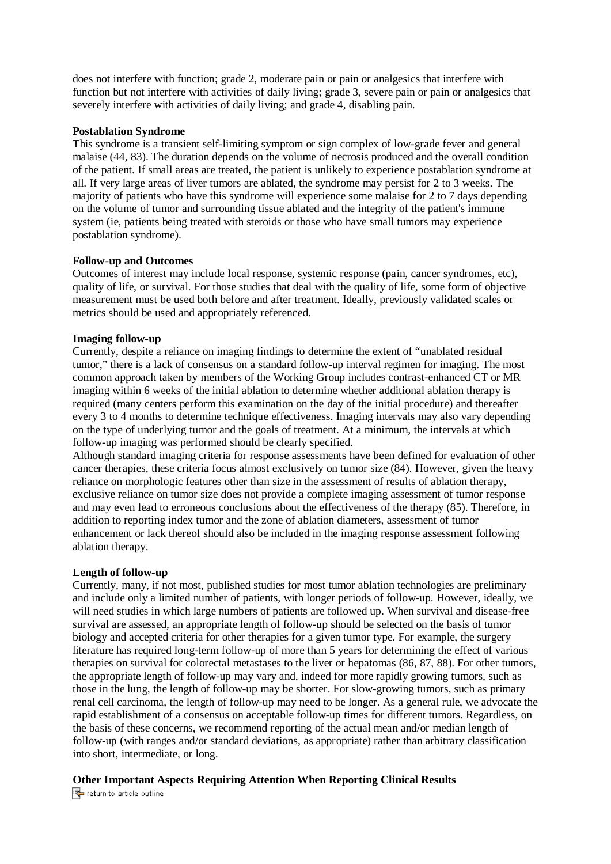does not interfere with function; grade 2, moderate pain or pain or analgesics that interfere with function but not interfere with activities of daily living; grade 3, severe pain or pain or analgesics that severely interfere with activities of daily living; and grade 4, disabling pain.

## **Postablation Syndrome**

This syndrome is a transient self-limiting symptom or sign complex of low-grade fever and general malaise [\(44,](http://www.jvir.org/article/PIIS105104430900308X/fulltext#bib44#bib44) [83\)](http://www.jvir.org/article/PIIS105104430900308X/fulltext#bib83#bib83). The duration depends on the volume of necrosis produced and the overall condition of the patient. If small areas are treated, the patient is unlikely to experience postablation syndrome at all. If very large areas of liver tumors are ablated, the syndrome may persist for 2 to 3 weeks. The majority of patients who have this syndrome will experience some malaise for 2 to 7 days depending on the volume of tumor and surrounding tissue ablated and the integrity of the patient's immune system (ie, patients being treated with steroids or those who have small tumors may experience postablation syndrome).

## **Follow-up and Outcomes**

Outcomes of interest may include local response, systemic response (pain, cancer syndromes, etc), quality of life, or survival. For those studies that deal with the quality of life, some form of objective measurement must be used both before and after treatment. Ideally, previously validated scales or metrics should be used and appropriately referenced.

## **Imaging follow-up**

Currently, despite a reliance on imaging findings to determine the extent of "unablated residual tumor," there is a lack of consensus on a standard follow-up interval regimen for imaging. The most common approach taken by members of the Working Group includes contrast-enhanced CT or MR imaging within 6 weeks of the initial ablation to determine whether additional ablation therapy is required (many centers perform this examination on the day of the initial procedure) and thereafter every 3 to 4 months to determine technique effectiveness. Imaging intervals may also vary depending on the type of underlying tumor and the goals of treatment. At a minimum, the intervals at which follow-up imaging was performed should be clearly specified.

Although standard imaging criteria for response assessments have been defined for evaluation of other cancer therapies, these criteria focus almost exclusively on tumor size [\(84\)](http://www.jvir.org/article/PIIS105104430900308X/fulltext#bib84#bib84). However, given the heavy reliance on morphologic features other than size in the assessment of results of ablation therapy, exclusive reliance on tumor size does not provide a complete imaging assessment of tumor response and may even lead to erroneous conclusions about the effectiveness of the therapy [\(85\)](http://www.jvir.org/article/PIIS105104430900308X/fulltext#bib85#bib85). Therefore, in addition to reporting index tumor and the zone of ablation diameters, assessment of tumor enhancement or lack thereof should also be included in the imaging response assessment following ablation therapy.

## **Length of follow-up**

Currently, many, if not most, published studies for most tumor ablation technologies are preliminary and include only a limited number of patients, with longer periods of follow-up. However, ideally, we will need studies in which large numbers of patients are followed up. When survival and disease-free survival are assessed, an appropriate length of follow-up should be selected on the basis of tumor biology and accepted criteria for other therapies for a given tumor type. For example, the surgery literature has required long-term follow-up of more than 5 years for determining the effect of various therapies on survival for colorectal metastases to the liver or hepatomas [\(86,](http://www.jvir.org/article/PIIS105104430900308X/fulltext#bib86#bib86) [87,](http://www.jvir.org/article/PIIS105104430900308X/fulltext#bib87#bib87) [88\)](http://www.jvir.org/article/PIIS105104430900308X/fulltext#bib88#bib88). For other tumors, the appropriate length of follow-up may vary and, indeed for more rapidly growing tumors, such as those in the lung, the length of follow-up may be shorter. For slow-growing tumors, such as primary renal cell carcinoma, the length of follow-up may need to be longer. As a general rule, we advocate the rapid establishment of a consensus on acceptable follow-up times for different tumors. Regardless, on the basis of these concerns, we recommend reporting of the actual mean and/or median length of follow-up (with ranges and/or standard deviations, as appropriate) rather than arbitrary classification into short, intermediate, or long.

**Other Important Aspects Requiring Attention When Reporting Clinical Results**

For return to article outline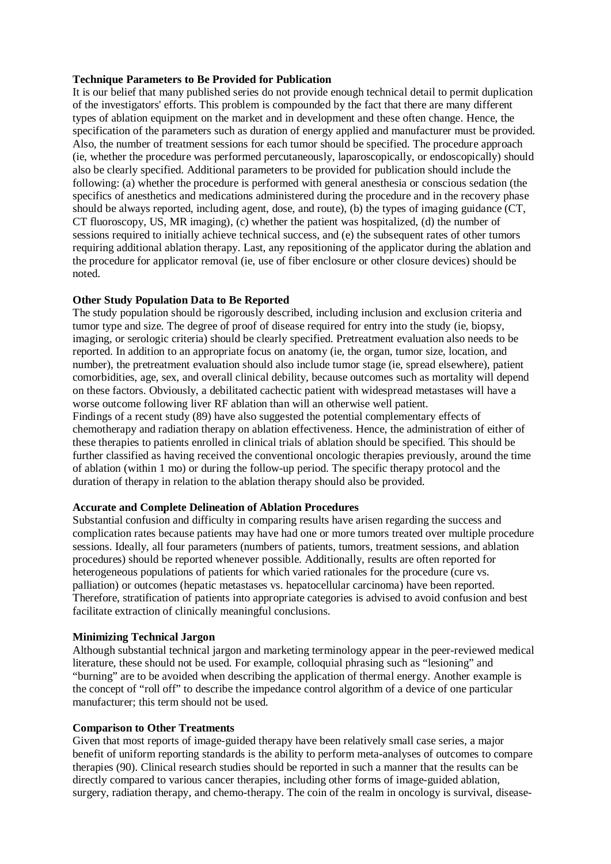## **Technique Parameters to Be Provided for Publication**

It is our belief that many published series do not provide enough technical detail to permit duplication of the investigators' efforts. This problem is compounded by the fact that there are many different types of ablation equipment on the market and in development and these often change. Hence, the specification of the parameters such as duration of energy applied and manufacturer must be provided. Also, the number of treatment sessions for each tumor should be specified. The procedure approach (ie, whether the procedure was performed percutaneously, laparoscopically, or endoscopically) should also be clearly specified. Additional parameters to be provided for publication should include the following: (a) whether the procedure is performed with general anesthesia or conscious sedation (the specifics of anesthetics and medications administered during the procedure and in the recovery phase should be always reported, including agent, dose, and route), (b) the types of imaging guidance (CT, CT fluoroscopy, US, MR imaging), (c) whether the patient was hospitalized, (d) the number of sessions required to initially achieve technical success, and (e) the subsequent rates of other tumors requiring additional ablation therapy. Last, any repositioning of the applicator during the ablation and the procedure for applicator removal (ie, use of fiber enclosure or other closure devices) should be noted.

## **Other Study Population Data to Be Reported**

The study population should be rigorously described, including inclusion and exclusion criteria and tumor type and size. The degree of proof of disease required for entry into the study (ie, biopsy, imaging, or serologic criteria) should be clearly specified. Pretreatment evaluation also needs to be reported. In addition to an appropriate focus on anatomy (ie, the organ, tumor size, location, and number), the pretreatment evaluation should also include tumor stage (ie, spread elsewhere), patient comorbidities, age, sex, and overall clinical debility, because outcomes such as mortality will depend on these factors. Obviously, a debilitated cachectic patient with widespread metastases will have a worse outcome following liver RF ablation than will an otherwise well patient. Findings of a recent study [\(89\)](http://www.jvir.org/article/PIIS105104430900308X/fulltext#bib89#bib89) have also suggested the potential complementary effects of chemotherapy and radiation therapy on ablation effectiveness. Hence, the administration of either of these therapies to patients enrolled in clinical trials of ablation should be specified. This should be further classified as having received the conventional oncologic therapies previously, around the time of ablation (within 1 mo) or during the follow-up period. The specific therapy protocol and the duration of therapy in relation to the ablation therapy should also be provided.

## **Accurate and Complete Delineation of Ablation Procedures**

Substantial confusion and difficulty in comparing results have arisen regarding the success and complication rates because patients may have had one or more tumors treated over multiple procedure sessions. Ideally, all four parameters (numbers of patients, tumors, treatment sessions, and ablation procedures) should be reported whenever possible. Additionally, results are often reported for heterogeneous populations of patients for which varied rationales for the procedure (cure vs. palliation) or outcomes (hepatic metastases vs. hepatocellular carcinoma) have been reported. Therefore, stratification of patients into appropriate categories is advised to avoid confusion and best facilitate extraction of clinically meaningful conclusions.

## **Minimizing Technical Jargon**

Although substantial technical jargon and marketing terminology appear in the peer-reviewed medical literature, these should not be used. For example, colloquial phrasing such as "lesioning" and "burning" are to be avoided when describing the application of thermal energy. Another example is the concept of "roll off" to describe the impedance control algorithm of a device of one particular manufacturer; this term should not be used.

## **Comparison to Other Treatments**

Given that most reports of image-guided therapy have been relatively small case series, a major benefit of uniform reporting standards is the ability to perform meta-analyses of outcomes to compare therapies [\(90\)](http://www.jvir.org/article/PIIS105104430900308X/fulltext#bib90#bib90). Clinical research studies should be reported in such a manner that the results can be directly compared to various cancer therapies, including other forms of image-guided ablation, surgery, radiation therapy, and chemo-therapy. The coin of the realm in oncology is survival, disease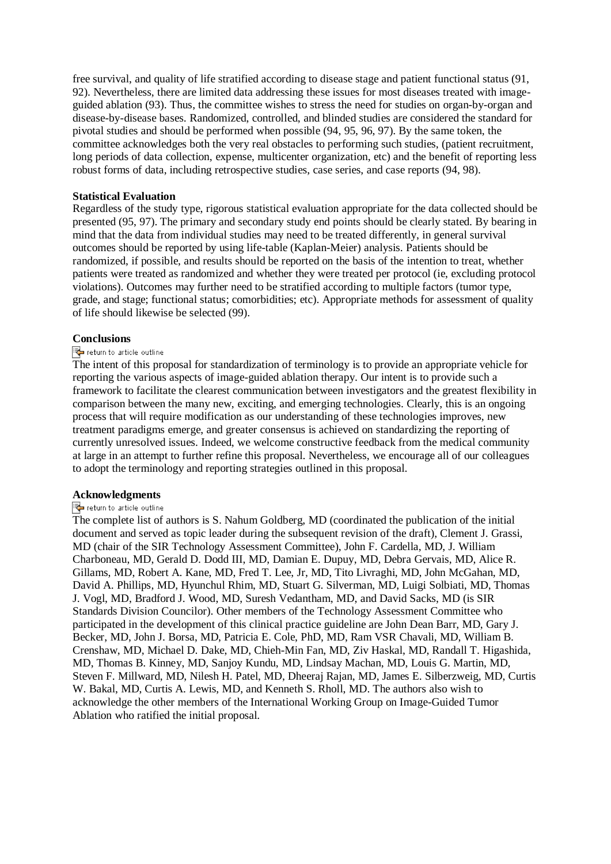free survival, and quality of life stratified according to disease stage and patient functional status [\(91,](http://www.jvir.org/article/PIIS105104430900308X/fulltext#bib91#bib91) [92\)](http://www.jvir.org/article/PIIS105104430900308X/fulltext#bib92#bib92). Nevertheless, there are limited data addressing these issues for most diseases treated with imageguided ablation [\(93\)](http://www.jvir.org/article/PIIS105104430900308X/fulltext#bib93#bib93). Thus, the committee wishes to stress the need for studies on organ-by-organ and disease-by-disease bases. Randomized, controlled, and blinded studies are considered the standard for pivotal studies and should be performed when possible [\(94,](http://www.jvir.org/article/PIIS105104430900308X/fulltext#bib94#bib94) [95,](http://www.jvir.org/article/PIIS105104430900308X/fulltext#bib95#bib95) [96,](http://www.jvir.org/article/PIIS105104430900308X/fulltext#bib96#bib96) [97\)](http://www.jvir.org/article/PIIS105104430900308X/fulltext#bib97#bib97). By the same token, the committee acknowledges both the very real obstacles to performing such studies, (patient recruitment, long periods of data collection, expense, multicenter organization, etc) and the benefit of reporting less robust forms of data, including retrospective studies, case series, and case reports [\(94,](http://www.jvir.org/article/PIIS105104430900308X/fulltext#bib94#bib94) [98\)](http://www.jvir.org/article/PIIS105104430900308X/fulltext#bib98#bib98).

## **Statistical Evaluation**

Regardless of the study type, rigorous statistical evaluation appropriate for the data collected should be presented [\(95,](http://www.jvir.org/article/PIIS105104430900308X/fulltext#bib95#bib95) [97\)](http://www.jvir.org/article/PIIS105104430900308X/fulltext#bib97#bib97). The primary and secondary study end points should be clearly stated. By bearing in mind that the data from individual studies may need to be treated differently, in general survival outcomes should be reported by using life-table (Kaplan-Meier) analysis. Patients should be randomized, if possible, and results should be reported on the basis of the intention to treat, whether patients were treated as randomized and whether they were treated per protocol (ie, excluding protocol violations). Outcomes may further need to be stratified according to multiple factors (tumor type, grade, and stage; functional status; comorbidities; etc). Appropriate methods for assessment of quality of life should likewise be selected [\(99\)](http://www.jvir.org/article/PIIS105104430900308X/fulltext#bib99#bib99).

## **Conclusions**

## For return to article outline

The intent of this proposal for standardization of terminology is to provide an appropriate vehicle for reporting the various aspects of image-guided ablation therapy. Our intent is to provide such a framework to facilitate the clearest communication between investigators and the greatest flexibility in comparison between the many new, exciting, and emerging technologies. Clearly, this is an ongoing process that will require modification as our understanding of these technologies improves, new treatment paradigms emerge, and greater consensus is achieved on standardizing the reporting of currently unresolved issues. Indeed, we welcome constructive feedback from the medical community at large in an attempt to further refine this proposal. Nevertheless, we encourage all of our colleagues to adopt the terminology and reporting strategies outlined in this proposal.

## **Acknowledgments**

## **B** return to article outline

The complete list of authors is S. Nahum Goldberg, MD (coordinated the publication of the initial document and served as topic leader during the subsequent revision of the draft), Clement J. Grassi, MD (chair of the SIR Technology Assessment Committee), John F. Cardella, MD, J. William Charboneau, MD, Gerald D. Dodd III, MD, Damian E. Dupuy, MD, Debra Gervais, MD, Alice R. Gillams, MD, Robert A. Kane, MD, Fred T. Lee, Jr, MD, Tito Livraghi, MD, John McGahan, MD, David A. Phillips, MD, Hyunchul Rhim, MD, Stuart G. Silverman, MD, Luigi Solbiati, MD, Thomas J. Vogl, MD, Bradford J. Wood, MD, Suresh Vedantham, MD, and David Sacks, MD (is SIR Standards Division Councilor). Other members of the Technology Assessment Committee who participated in the development of this clinical practice guideline are John Dean Barr, MD, Gary J. Becker, MD, John J. Borsa, MD, Patricia E. Cole, PhD, MD, Ram VSR Chavali, MD, William B. Crenshaw, MD, Michael D. Dake, MD, Chieh-Min Fan, MD, Ziv Haskal, MD, Randall T. Higashida, MD, Thomas B. Kinney, MD, Sanjoy Kundu, MD, Lindsay Machan, MD, Louis G. Martin, MD, Steven F. Millward, MD, Nilesh H. Patel, MD, Dheeraj Rajan, MD, James E. Silberzweig, MD, Curtis W. Bakal, MD, Curtis A. Lewis, MD, and Kenneth S. Rholl, MD. The authors also wish to acknowledge the other members of the International Working Group on Image-Guided Tumor Ablation who ratified the initial proposal.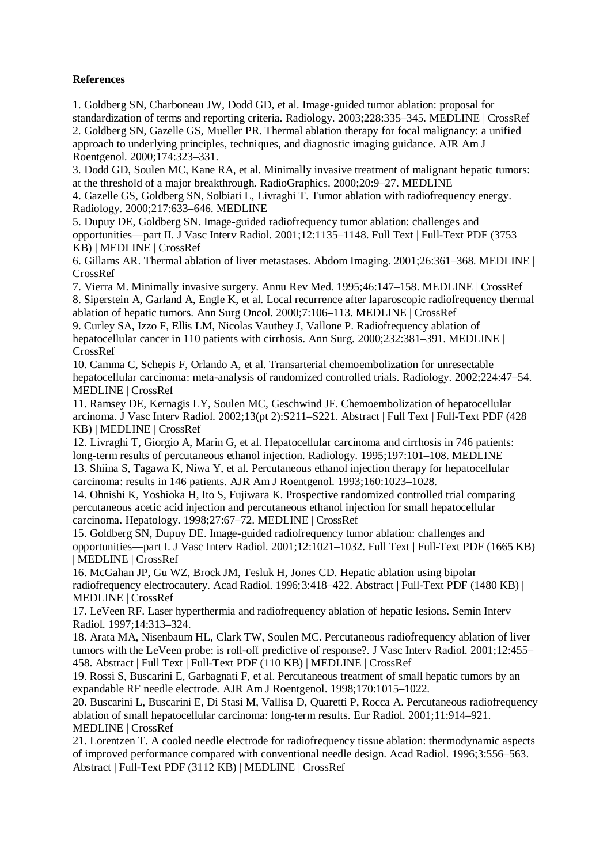## **References**

[1.](http://www.jvir.org/article/PIIS105104430900308X/fulltext#back-bib1#back-bib1) Goldberg SN, Charboneau JW, Dodd GD, et al. Image-guided tumor ablation: proposal for standardization of terms and reporting criteria. Radiology. 2003;228:335–345. [MEDLINE](http://www.jvir.org/medline/record/ivp_00338419_228_335) | [CrossRef](http://www.jvir.org/article/PIIS105104430900308X/fulltext##)  [2.](http://www.jvir.org/article/PIIS105104430900308X/fulltext#back-bib2#back-bib2) Goldberg SN, Gazelle GS, Mueller PR. Thermal ablation therapy for focal malignancy: a unified approach to underlying principles, techniques, and diagnostic imaging guidance. AJR Am J Roentgenol. 2000;174:323–331.

[3.](http://www.jvir.org/article/PIIS105104430900308X/fulltext#back-bib3#back-bib3) Dodd GD, Soulen MC, Kane RA, et al. Minimally invasive treatment of malignant hepatic tumors: at the threshold of a major breakthrough. RadioGraphics. 2000;20:9–27. [MEDLINE](http://www.jvir.org/medline/record/ivp_02715333_20_9)

[4.](http://www.jvir.org/article/PIIS105104430900308X/fulltext#back-bib4#back-bib4) Gazelle GS, Goldberg SN, Solbiati L, Livraghi T. Tumor ablation with radiofrequency energy. Radiology. 2000;217:633–646. [MEDLINE](http://www.jvir.org/medline/record/ivp_00338419_217_633)

[5.](http://www.jvir.org/article/PIIS105104430900308X/fulltext#back-bib5#back-bib5) Dupuy DE, Goldberg SN. Image-guided radiofrequency tumor ablation: challenges and opportunities—part II. J Vasc Interv Radiol. 2001;12:1135–1148. [Full Text](http://www.jvir.org/article/S1051-0443(07)61670-4/fulltext?refuid=S1051-0443(09)00308-X&refissn=1051-0443) [| Full-Text PDF \(3753](http://download.journals.elsevierhealth.com/pdfs/journals/1051-0443/PIIS1051044307616704.pdf?refuid=S1051-0443(09)00308-X&refissn=1051-0443&mis=.pdf)  [KB\) |](http://download.journals.elsevierhealth.com/pdfs/journals/1051-0443/PIIS1051044307616704.pdf?refuid=S1051-0443(09)00308-X&refissn=1051-0443&mis=.pdf) [MEDLINE](http://www.jvir.org/medline/record/ivp_10510443_12_1135) | [CrossRef](http://www.jvir.org/article/PIIS105104430900308X/fulltext##) 

[6.](http://www.jvir.org/article/PIIS105104430900308X/fulltext#back-bib6#back-bib6) Gillams AR. Thermal ablation of liver metastases. Abdom Imaging. 2001;26:361–368. [MEDLINE](http://www.jvir.org/medline/record/ivp_09428925_26_361) | [CrossRef](http://www.jvir.org/article/PIIS105104430900308X/fulltext##) 

[7.](http://www.jvir.org/article/PIIS105104430900308X/fulltext#back-bib7#back-bib7) Vierra M. Minimally invasive surgery. Annu Rev Med. 1995;46:147–158. [MEDLINE](http://www.jvir.org/medline/record/ivp_00664219_46_147) [| CrossRef](http://www.jvir.org/article/PIIS105104430900308X/fulltext##)  [8.](http://www.jvir.org/article/PIIS105104430900308X/fulltext#back-bib8#back-bib8) Siperstein A, Garland A, Engle K, et al. Local recurrence after laparoscopic radiofrequency thermal ablation of hepatic tumors. Ann Surg Oncol. 2000;7:106–113[. MEDLINE](http://www.jvir.org/medline/record/ivp_10689265_7_106) | [CrossRef](http://www.jvir.org/article/PIIS105104430900308X/fulltext##) 

[9.](http://www.jvir.org/article/PIIS105104430900308X/fulltext#back-bib9#back-bib9) Curley SA, Izzo F, Ellis LM, Nicolas Vauthey J, Vallone P. Radiofrequency ablation of hepatocellular cancer in 110 patients with cirrhosis. Ann Surg. 2000;232:381–391. [MEDLINE](http://www.jvir.org/medline/record/ivp_00034932_232_381) | [CrossRef](http://www.jvir.org/article/PIIS105104430900308X/fulltext##) 

[10.](http://www.jvir.org/article/PIIS105104430900308X/fulltext#back-bib10#back-bib10) Camma C, Schepis F, Orlando A, et al. Transarterial chemoembolization for unresectable hepatocellular carcinoma: meta-analysis of randomized controlled trials. Radiology. 2002;224:47–54. [MEDLINE](http://www.jvir.org/medline/record/ivp_00338419_224_47) | [CrossRef](http://www.jvir.org/article/PIIS105104430900308X/fulltext##) 

[11.](http://www.jvir.org/article/PIIS105104430900308X/fulltext#back-bib11#back-bib11) Ramsey DE, Kernagis LY, Soulen MC, Geschwind JF. Chemoembolization of hepatocellular arcinoma. J Vasc Interv Radiol. 2002;13(pt 2):S211–S221. [Abstract](http://www.jvir.org/article/S1051-0443(07)61789-8/abstract?refuid=S1051-0443(09)00308-X&refissn=1051-0443) | [Full Text](http://www.jvir.org/article/S1051-0443(07)61789-8/fulltext?refuid=S1051-0443(09)00308-X&refissn=1051-0443) [| Full-Text PDF \(428](http://download.journals.elsevierhealth.com/pdfs/journals/1051-0443/PIIS1051044307617898.pdf?refuid=S1051-0443(09)00308-X&refissn=1051-0443&mis=.pdf)  [KB\) |](http://download.journals.elsevierhealth.com/pdfs/journals/1051-0443/PIIS1051044307617898.pdf?refuid=S1051-0443(09)00308-X&refissn=1051-0443&mis=.pdf) [MEDLINE](http://www.jvir.org/medline/record/ivp_10510443_13_S211) [| CrossRef](http://www.jvir.org/article/PIIS105104430900308X/fulltext##) 

[12.](http://www.jvir.org/article/PIIS105104430900308X/fulltext#back-bib12#back-bib12) Livraghi T, Giorgio A, Marin G, et al. Hepatocellular carcinoma and cirrhosis in 746 patients: long-term results of percutaneous ethanol injection. Radiology. 1995;197:101–108. [MEDLINE](http://www.jvir.org/medline/record/ivp_00338419_197_101) [13.](http://www.jvir.org/article/PIIS105104430900308X/fulltext#back-bib13#back-bib13) Shiina S, Tagawa K, Niwa Y, et al. Percutaneous ethanol injection therapy for hepatocellular carcinoma: results in 146 patients. AJR Am J Roentgenol. 1993;160:1023–1028.

[14.](http://www.jvir.org/article/PIIS105104430900308X/fulltext#back-bib14#back-bib14) Ohnishi K, Yoshioka H, Ito S, Fujiwara K. Prospective randomized controlled trial comparing percutaneous acetic acid injection and percutaneous ethanol injection for small hepatocellular carcinoma. Hepatology. 1998;27:67–72. [MEDLINE](http://www.jvir.org/medline/record/ivp_02709139_27_67) | [CrossRef](http://www.jvir.org/article/PIIS105104430900308X/fulltext##) 

[15.](http://www.jvir.org/article/PIIS105104430900308X/fulltext#back-bib15#back-bib15) Goldberg SN, Dupuy DE. Image-guided radiofrequency tumor ablation: challenges and opportunities—part I. J Vasc Interv Radiol. 2001;12:1021–1032[. Full Text](http://www.jvir.org/article/S1051-0443(07)61587-5/fulltext?refuid=S1051-0443(09)00308-X&refissn=1051-0443) | [Full-Text PDF \(1665 KB\)](http://download.journals.elsevierhealth.com/pdfs/journals/1051-0443/PIIS1051044307615875.pdf?refuid=S1051-0443(09)00308-X&refissn=1051-0443&mis=.pdf)  | [MEDLINE](http://www.jvir.org/medline/record/ivp_10510443_12_1021) | [CrossRef](http://www.jvir.org/article/PIIS105104430900308X/fulltext##) 

[16.](http://www.jvir.org/article/PIIS105104430900308X/fulltext#back-bib16#back-bib16) McGahan JP, Gu WZ, Brock JM, Tesluk H, Jones CD. Hepatic ablation using bipolar radiofrequency electrocautery. Acad Radiol. 1996;3:418–422. [Abstract](http://www.academicradiology.org/article/S1076-6332(05)80677-4/abstract?refuid=S1051-0443(09)00308-X&refissn=1051-0443) | [Full-Text PDF \(1480 KB\) |](http://download.journals.elsevierhealth.com/pdfs/journals/1076-6332/PIIS1076633205806774.pdf?refuid=S1051-0443(09)00308-X&refissn=1051-0443&mis=.pdf)  [MEDLINE](http://www.academicradiology.org/medline/record/ivp_10766332_3_418) | [CrossRef](http://www.jvir.org/article/PIIS105104430900308X/fulltext##) 

[17.](http://www.jvir.org/article/PIIS105104430900308X/fulltext#back-bib17#back-bib17) LeVeen RF. Laser hyperthermia and radiofrequency ablation of hepatic lesions. Semin Interv Radiol. 1997;14:313–324.

[18.](http://www.jvir.org/article/PIIS105104430900308X/fulltext#back-bib18#back-bib18) Arata MA, Nisenbaum HL, Clark TW, Soulen MC. Percutaneous radiofrequency ablation of liver tumors with the LeVeen probe: is roll-off predictive of response?. J Vasc Interv Radiol. 2001;12:455– 458. [Abstract](http://www.jvir.org/article/S1051-0443(07)61884-3/abstract?refuid=S1051-0443(09)00308-X&refissn=1051-0443) | [Full Text](http://www.jvir.org/article/S1051-0443(07)61884-3/fulltext?refuid=S1051-0443(09)00308-X&refissn=1051-0443) | [Full-Text PDF \(110 KB\) |](http://download.journals.elsevierhealth.com/pdfs/journals/1051-0443/PIIS1051044307618843.pdf?refuid=S1051-0443(09)00308-X&refissn=1051-0443&mis=.pdf) [MEDLINE](http://www.jvir.org/medline/record/ivp_10510443_12_455) | [CrossRef](http://www.jvir.org/article/PIIS105104430900308X/fulltext##) 

[19.](http://www.jvir.org/article/PIIS105104430900308X/fulltext#back-bib19#back-bib19) Rossi S, Buscarini E, Garbagnati F, et al. Percutaneous treatment of small hepatic tumors by an expandable RF needle electrode. AJR Am J Roentgenol. 1998;170:1015–1022.

[20.](http://www.jvir.org/article/PIIS105104430900308X/fulltext#back-bib20#back-bib20) Buscarini L, Buscarini E, Di Stasi M, Vallisa D, Quaretti P, Rocca A. Percutaneous radiofrequency ablation of small hepatocellular carcinoma: long-term results. Eur Radiol. 2001;11:914–921. [MEDLINE](http://www.jvir.org/medline/record/ivp_09387994_11_914) | [CrossRef](http://www.jvir.org/article/PIIS105104430900308X/fulltext##) 

[21.](http://www.jvir.org/article/PIIS105104430900308X/fulltext#back-bib21#back-bib21) Lorentzen T. A cooled needle electrode for radiofrequency tissue ablation: thermodynamic aspects of improved performance compared with conventional needle design. Acad Radiol. 1996;3:556–563. [Abstract](http://www.academicradiology.org/article/S1076-6332(96)80219-4/abstract?refuid=S1051-0443(09)00308-X&refissn=1051-0443) | [Full-Text PDF \(3112 KB\) |](http://download.journals.elsevierhealth.com/pdfs/journals/1076-6332/PIIS1076633296802194.pdf?refuid=S1051-0443(09)00308-X&refissn=1051-0443&mis=.pdf) [MEDLINE](http://www.academicradiology.org/medline/record/ivp_10766332_3_556) | [CrossRef](http://www.jvir.org/article/PIIS105104430900308X/fulltext##)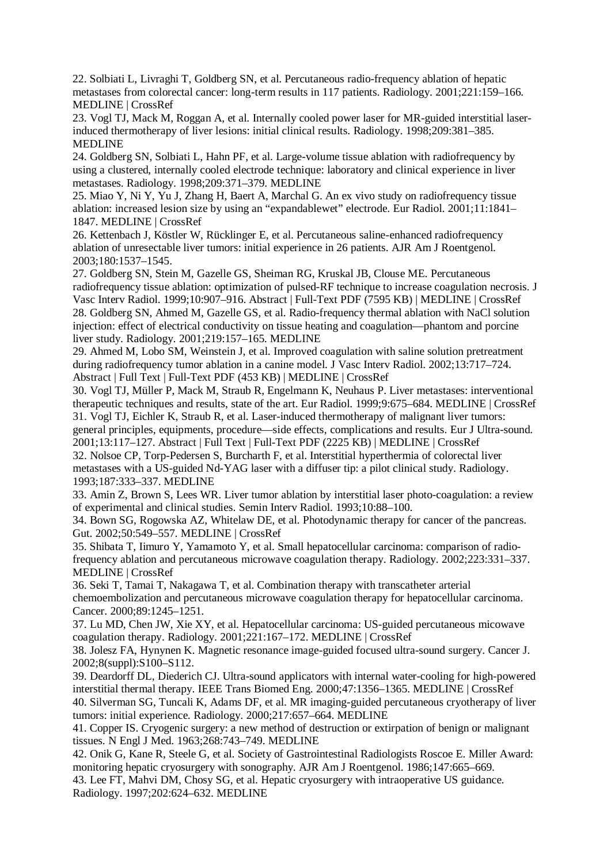[22.](http://www.jvir.org/article/PIIS105104430900308X/fulltext#back-bib22#back-bib22) Solbiati L, Livraghi T, Goldberg SN, et al. Percutaneous radio-frequency ablation of hepatic metastases from colorectal cancer: long-term results in 117 patients. Radiology. 2001;221:159–166. [MEDLINE](http://www.jvir.org/medline/record/ivp_00338419_221_159) | [CrossRef](http://www.jvir.org/article/PIIS105104430900308X/fulltext##) 

[23.](http://www.jvir.org/article/PIIS105104430900308X/fulltext#back-bib23#back-bib23) Vogl TJ, Mack M, Roggan A, et al. Internally cooled power laser for MR-guided interstitial laserinduced thermotherapy of liver lesions: initial clinical results. Radiology. 1998;209:381–385. **[MEDLINE](http://www.jvir.org/medline/record/ivp_00338419_209_381)** 

[24.](http://www.jvir.org/article/PIIS105104430900308X/fulltext#back-bib24#back-bib24) Goldberg SN, Solbiati L, Hahn PF, et al. Large-volume tissue ablation with radiofrequency by using a clustered, internally cooled electrode technique: laboratory and clinical experience in liver metastases. Radiology. 1998;209:371–379. [MEDLINE](http://www.jvir.org/medline/record/ivp_00338419_209_371)

[25.](http://www.jvir.org/article/PIIS105104430900308X/fulltext#back-bib25#back-bib25) Miao Y, Ni Y, Yu J, Zhang H, Baert A, Marchal G. An ex vivo study on radiofrequency tissue ablation: increased lesion size by using an "expandablewet" electrode. Eur Radiol. 2001;11:1841– 1847. [MEDLINE](http://www.jvir.org/medline/record/ivp_09387994_11_1841) | [CrossRef](http://www.jvir.org/article/PIIS105104430900308X/fulltext##) 

[26.](http://www.jvir.org/article/PIIS105104430900308X/fulltext#back-bib26#back-bib26) Kettenbach J, Köstler W, Rücklinger E, et al. Percutaneous saline-enhanced radiofrequency ablation of unresectable liver tumors: initial experience in 26 patients. AJR Am J Roentgenol. 2003;180:1537–1545.

[27.](http://www.jvir.org/article/PIIS105104430900308X/fulltext#back-bib27#back-bib27) Goldberg SN, Stein M, Gazelle GS, Sheiman RG, Kruskal JB, Clouse ME. Percutaneous radiofrequency tissue ablation: optimization of pulsed-RF technique to increase coagulation necrosis. J Vasc Interv Radiol. 1999;10:907–916. [Abstract](http://www.jvir.org/article/S1051-0443(99)70136-3/abstract?refuid=S1051-0443(09)00308-X&refissn=1051-0443) [| Full-Text PDF \(7595 KB\) |](http://download.journals.elsevierhealth.com/pdfs/journals/1051-0443/PIIS1051044399701363.pdf?refuid=S1051-0443(09)00308-X&refissn=1051-0443&mis=.pdf) [MEDLINE](http://www.jvir.org/medline/record/ivp_10510443_10_907) | [CrossRef](http://www.jvir.org/article/PIIS105104430900308X/fulltext##)  [28.](http://www.jvir.org/article/PIIS105104430900308X/fulltext#back-bib28#back-bib28) Goldberg SN, Ahmed M, Gazelle GS, et al. Radio-frequency thermal ablation with NaCl solution injection: effect of electrical conductivity on tissue heating and coagulation—phantom and porcine liver study. Radiology. 2001;219:157–165. [MEDLINE](http://www.jvir.org/medline/record/ivp_00338419_219_157)

[29.](http://www.jvir.org/article/PIIS105104430900308X/fulltext#back-bib29#back-bib29) Ahmed M, Lobo SM, Weinstein J, et al. Improved coagulation with saline solution pretreatment during radiofrequency tumor ablation in a canine model. J Vasc Interv Radiol. 2002;13:717–724. [Abstract](http://www.jvir.org/article/S1051-0443(07)61850-8/abstract?refuid=S1051-0443(09)00308-X&refissn=1051-0443) | [Full Text](http://www.jvir.org/article/S1051-0443(07)61850-8/fulltext?refuid=S1051-0443(09)00308-X&refissn=1051-0443) | [Full-Text PDF \(453 KB\) |](http://download.journals.elsevierhealth.com/pdfs/journals/1051-0443/PIIS1051044307618508.pdf?refuid=S1051-0443(09)00308-X&refissn=1051-0443&mis=.pdf) [MEDLINE](http://www.jvir.org/medline/record/ivp_10510443_13_717) | [CrossRef](http://www.jvir.org/article/PIIS105104430900308X/fulltext##) 

[30.](http://www.jvir.org/article/PIIS105104430900308X/fulltext#back-bib30#back-bib30) Vogl TJ, Müller P, Mack M, Straub R, Engelmann K, Neuhaus P. Liver metastases: interventional therapeutic techniques and results, state of the art. Eur Radiol. 1999;9:675–684. [MEDLINE](http://www.jvir.org/medline/record/ivp_09387994_9_675) | [CrossRef](http://www.jvir.org/article/PIIS105104430900308X/fulltext##)  [31.](http://www.jvir.org/article/PIIS105104430900308X/fulltext#back-bib31#back-bib31) Vogl TJ, Eichler K, Straub R, et al. Laser-induced thermotherapy of malignant liver tumors:

general principles, equipments, procedure—side effects, complications and results. Eur J Ultra-sound. 2001;13:117–127. [Abstract](http://www.journals.elsevierhealth.com/periodicals/ejus/article/S0929-8266(01)00125-2/abstract?refuid=S1051-0443(09)00308-X&refissn=1051-0443) | [Full Text](http://www.journals.elsevierhealth.com/periodicals/ejus/article/S0929-8266(01)00125-2/fulltext?refuid=S1051-0443(09)00308-X&refissn=1051-0443) | [Full-Text PDF \(2225 KB\) |](http://download.journals.elsevierhealth.com/pdfs/journals/0929-8266/PIIS0929826601001252.pdf?refuid=S1051-0443(09)00308-X&refissn=1051-0443&mis=.pdf) [MEDLINE](http://www.journals.elsevierhealth.com/periodicals/ejus/medline/record/ivp_09298266_13_117) [| CrossRef](http://www.jvir.org/article/PIIS105104430900308X/fulltext##) 

[32.](http://www.jvir.org/article/PIIS105104430900308X/fulltext#back-bib32#back-bib32) Nolsoe CP, Torp-Pedersen S, Burcharth F, et al. Interstitial hyperthermia of colorectal liver metastases with a US-guided Nd-YAG laser with a diffuser tip: a pilot clinical study. Radiology. 1993;187:333–337. [MEDLINE](http://www.jvir.org/medline/record/ivp_00338419_187_333)

[33.](http://www.jvir.org/article/PIIS105104430900308X/fulltext#back-bib33#back-bib33) Amin Z, Brown S, Lees WR. Liver tumor ablation by interstitial laser photo-coagulation: a review of experimental and clinical studies. Semin Interv Radiol. 1993;10:88–100.

[34.](http://www.jvir.org/article/PIIS105104430900308X/fulltext#back-bib34#back-bib34) Bown SG, Rogowska AZ, Whitelaw DE, et al. Photodynamic therapy for cancer of the pancreas. Gut. 2002;50:549–557. [MEDLINE](http://www.jvir.org/medline/record/ivp_00175749_50_549) | [CrossRef](http://www.jvir.org/article/PIIS105104430900308X/fulltext##) 

[35.](http://www.jvir.org/article/PIIS105104430900308X/fulltext#back-bib35#back-bib35) Shibata T, Iimuro Y, Yamamoto Y, et al. Small hepatocellular carcinoma: comparison of radiofrequency ablation and percutaneous microwave coagulation therapy. Radiology. 2002;223:331–337. [MEDLINE](http://www.jvir.org/medline/record/ivp_00338419_223_331) | [CrossRef](http://www.jvir.org/article/PIIS105104430900308X/fulltext##) 

[36.](http://www.jvir.org/article/PIIS105104430900308X/fulltext#back-bib36#back-bib36) Seki T, Tamai T, Nakagawa T, et al. Combination therapy with transcatheter arterial chemoembolization and percutaneous microwave coagulation therapy for hepatocellular carcinoma. Cancer. 2000;89:1245–1251.

[37.](http://www.jvir.org/article/PIIS105104430900308X/fulltext#back-bib37#back-bib37) Lu MD, Chen JW, Xie XY, et al. Hepatocellular carcinoma: US-guided percutaneous micowave coagulation therapy. Radiology. 2001;221:167–172. [MEDLINE](http://www.jvir.org/medline/record/ivp_00338419_221_167) | [CrossRef](http://www.jvir.org/article/PIIS105104430900308X/fulltext##) 

[38.](http://www.jvir.org/article/PIIS105104430900308X/fulltext#back-bib38#back-bib38) Jolesz FA, Hynynen K. Magnetic resonance image-guided focused ultra-sound surgery. Cancer J. 2002;8(suppl):S100–S112.

[39.](http://www.jvir.org/article/PIIS105104430900308X/fulltext#back-bib39#back-bib39) Deardorff DL, Diederich CJ. Ultra-sound applicators with internal water-cooling for high-powered interstitial thermal therapy. IEEE Trans Biomed Eng. 2000;47:1356–1365. [MEDLINE](http://www.jvir.org/medline/record/ivp_00189294_47_1356) [| CrossRef](http://www.jvir.org/article/PIIS105104430900308X/fulltext##)  [40.](http://www.jvir.org/article/PIIS105104430900308X/fulltext#back-bib40#back-bib40) Silverman SG, Tuncali K, Adams DF, et al. MR imaging-guided percutaneous cryotherapy of liver tumors: initial experience. Radiology. 2000;217:657–664. [MEDLINE](http://www.jvir.org/medline/record/ivp_00338419_217_657)

[41.](http://www.jvir.org/article/PIIS105104430900308X/fulltext#back-bib41#back-bib41) Copper IS. Cryogenic surgery: a new method of destruction or extirpation of benign or malignant tissues. N Engl J Med. 1963;268:743–749. [MEDLINE](http://www.jvir.org/medline/record/ivp_00284793_268_743)

[42.](http://www.jvir.org/article/PIIS105104430900308X/fulltext#back-bib42#back-bib42) Onik G, Kane R, Steele G, et al. Society of Gastrointestinal Radiologists Roscoe E. Miller Award: monitoring hepatic cryosurgery with sonography. AJR Am J Roentgenol. 1986;147:665–669.

[43.](http://www.jvir.org/article/PIIS105104430900308X/fulltext#back-bib43#back-bib43) Lee FT, Mahvi DM, Chosy SG, et al. Hepatic cryosurgery with intraoperative US guidance. Radiology. 1997;202:624–632. [MEDLINE](http://www.jvir.org/medline/record/ivp_00338419_202_624)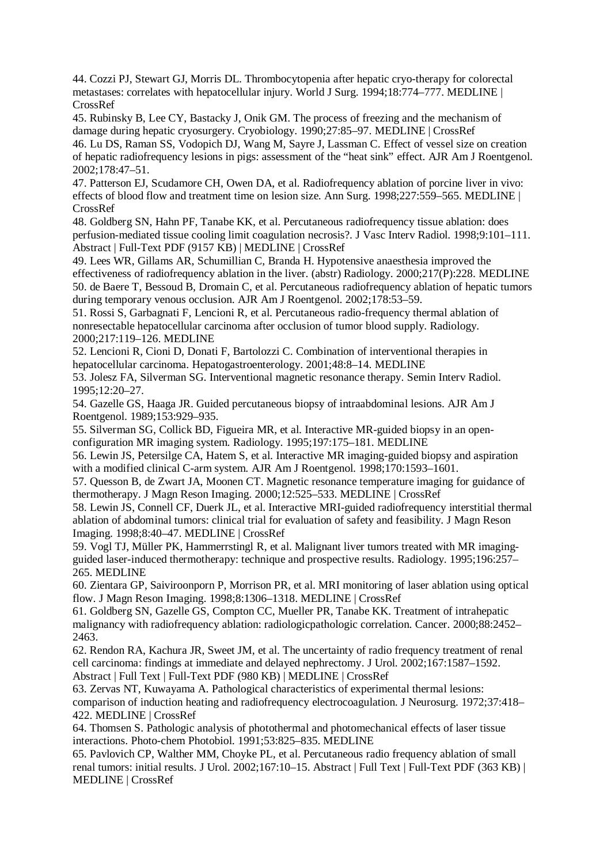[44.](http://www.jvir.org/article/PIIS105104430900308X/fulltext#back-bib44#back-bib44) Cozzi PJ, Stewart GJ, Morris DL. Thrombocytopenia after hepatic cryo-therapy for colorectal metastases: correlates with hepatocellular injury. World J Surg. 1994;18:774–777. [MEDLINE](http://www.jvir.org/medline/record/ivp_03642313_18_774) | [CrossRef](http://www.jvir.org/article/PIIS105104430900308X/fulltext##) 

[45.](http://www.jvir.org/article/PIIS105104430900308X/fulltext#back-bib45#back-bib45) Rubinsky B, Lee CY, Bastacky J, Onik GM. The process of freezing and the mechanism of damage during hepatic cryosurgery. Cryobiology. 1990;27:85–97. [MEDLINE](http://www.jvir.org/medline/record/ivp_00112240_27_85) | [CrossRef](http://www.jvir.org/article/PIIS105104430900308X/fulltext##)  [46.](http://www.jvir.org/article/PIIS105104430900308X/fulltext#back-bib46#back-bib46) Lu DS, Raman SS, Vodopich DJ, Wang M, Sayre J, Lassman C. Effect of vessel size on creation of hepatic radiofrequency lesions in pigs: assessment of the "heat sink" effect. AJR Am J Roentgenol. 2002;178:47–51.

[47.](http://www.jvir.org/article/PIIS105104430900308X/fulltext#back-bib47#back-bib47) Patterson EJ, Scudamore CH, Owen DA, et al. Radiofrequency ablation of porcine liver in vivo: effects of blood flow and treatment time on lesion size. Ann Surg. 1998;227:559–565[. MEDLINE](http://www.jvir.org/medline/record/ivp_00034932_227_559) | [CrossRef](http://www.jvir.org/article/PIIS105104430900308X/fulltext##) 

[48.](http://www.jvir.org/article/PIIS105104430900308X/fulltext#back-bib48#back-bib48) Goldberg SN, Hahn PF, Tanabe KK, et al. Percutaneous radiofrequency tissue ablation: does perfusion-mediated tissue cooling limit coagulation necrosis?. J Vasc Interv Radiol. 1998;9:101–111. [Abstract](http://www.jvir.org/article/S1051-0443(98)70491-9/abstract?refuid=S1051-0443(09)00308-X&refissn=1051-0443) | [Full-Text PDF \(9157 KB\) |](http://download.journals.elsevierhealth.com/pdfs/journals/1051-0443/PIIS1051044398704919.pdf?refuid=S1051-0443(09)00308-X&refissn=1051-0443&mis=.pdf) [MEDLINE](http://www.jvir.org/medline/record/ivp_10510443_9_101) | [CrossRef](http://www.jvir.org/article/PIIS105104430900308X/fulltext##) 

[49.](http://www.jvir.org/article/PIIS105104430900308X/fulltext#back-bib49#back-bib49) Lees WR, Gillams AR, Schumillian C, Branda H. Hypotensive anaesthesia improved the effectiveness of radiofrequency ablation in the liver. (abstr) Radiology. 2000;217(P):228. [MEDLINE](http://www.jvir.org/medline/record/ivp_00338419_217_228) [50.](http://www.jvir.org/article/PIIS105104430900308X/fulltext#back-bib50#back-bib50) de Baere T, Bessoud B, Dromain C, et al. Percutaneous radiofrequency ablation of hepatic tumors during temporary venous occlusion. AJR Am J Roentgenol. 2002;178:53–59.

[51.](http://www.jvir.org/article/PIIS105104430900308X/fulltext#back-bib51#back-bib51) Rossi S, Garbagnati F, Lencioni R, et al. Percutaneous radio-frequency thermal ablation of nonresectable hepatocellular carcinoma after occlusion of tumor blood supply. Radiology. 2000;217:119–126. [MEDLINE](http://www.jvir.org/medline/record/ivp_00338419_217_119)

[52.](http://www.jvir.org/article/PIIS105104430900308X/fulltext#back-bib52#back-bib52) Lencioni R, Cioni D, Donati F, Bartolozzi C. Combination of interventional therapies in hepatocellular carcinoma. Hepatogastroenterology. 2001;48:8–14. [MEDLINE](http://www.jvir.org/medline/record/ivp_01726390_48_8)

[53.](http://www.jvir.org/article/PIIS105104430900308X/fulltext#back-bib53#back-bib53) Jolesz FA, Silverman SG. Interventional magnetic resonance therapy. Semin Interv Radiol. 1995;12:20–27.

[54.](http://www.jvir.org/article/PIIS105104430900308X/fulltext#back-bib54#back-bib54) Gazelle GS, Haaga JR. Guided percutaneous biopsy of intraabdominal lesions. AJR Am J Roentgenol. 1989;153:929–935.

[55.](http://www.jvir.org/article/PIIS105104430900308X/fulltext#back-bib55#back-bib55) Silverman SG, Collick BD, Figueira MR, et al. Interactive MR-guided biopsy in an openconfiguration MR imaging system. Radiology. 1995;197:175–181. [MEDLINE](http://www.jvir.org/medline/record/ivp_00338419_197_175)

[56.](http://www.jvir.org/article/PIIS105104430900308X/fulltext#back-bib56#back-bib56) Lewin JS, Petersilge CA, Hatem S, et al. Interactive MR imaging-guided biopsy and aspiration with a modified clinical C-arm system. AJR Am J Roentgenol. 1998;170:1593–1601.

[57.](http://www.jvir.org/article/PIIS105104430900308X/fulltext#back-bib57#back-bib57) Quesson B, de Zwart JA, Moonen CT. Magnetic resonance temperature imaging for guidance of thermotherapy. J Magn Reson Imaging. 2000;12:525–533. [MEDLINE](http://www.jvir.org/medline/record/ivp_10531807_12_525) [| CrossRef](http://www.jvir.org/article/PIIS105104430900308X/fulltext##) 

[58.](http://www.jvir.org/article/PIIS105104430900308X/fulltext#back-bib58#back-bib58) Lewin JS, Connell CF, Duerk JL, et al. Interactive MRI-guided radiofrequency interstitial thermal ablation of abdominal tumors: clinical trial for evaluation of safety and feasibility. J Magn Reson Imaging. 1998;8:40–47[. MEDLINE](http://www.jvir.org/medline/record/ivp_10531807_8_40) | [CrossRef](http://www.jvir.org/article/PIIS105104430900308X/fulltext##) 

[59.](http://www.jvir.org/article/PIIS105104430900308X/fulltext#back-bib59#back-bib59) Vogl TJ, Müller PK, Hammerrstingl R, et al. Malignant liver tumors treated with MR imagingguided laser-induced thermotherapy: technique and prospective results. Radiology. 1995;196:257– 265. [MEDLINE](http://www.jvir.org/medline/record/ivp_00338419_196_257)

[60.](http://www.jvir.org/article/PIIS105104430900308X/fulltext#back-bib60#back-bib60) Zientara GP, Saiviroonporn P, Morrison PR, et al. MRI monitoring of laser ablation using optical flow. J Magn Reson Imaging. 1998;8:1306–1318. [MEDLINE](http://www.jvir.org/medline/record/ivp_10531807_8_1306) | [CrossRef](http://www.jvir.org/article/PIIS105104430900308X/fulltext##) 

[61.](http://www.jvir.org/article/PIIS105104430900308X/fulltext#back-bib61#back-bib61) Goldberg SN, Gazelle GS, Compton CC, Mueller PR, Tanabe KK. Treatment of intrahepatic malignancy with radiofrequency ablation: radiologic pathologic correlation. Cancer. 2000;88:2452– 2463.

[62.](http://www.jvir.org/article/PIIS105104430900308X/fulltext#back-bib62#back-bib62) Rendon RA, Kachura JR, Sweet JM, et al. The uncertainty of radio frequency treatment of renal cell carcinoma: findings at immediate and delayed nephrectomy. J Urol. 2002;167:1587–1592. [Abstract](http://www.jurology.com/article/S0022-5347(05)65159-2/abstract?refuid=S1051-0443(09)00308-X&refissn=1051-0443) | [Full Text](http://www.jurology.com/article/S0022-5347(05)65159-2/fulltext?refuid=S1051-0443(09)00308-X&refissn=1051-0443) | [Full-Text PDF \(980 KB\) |](http://download.journals.elsevierhealth.com/pdfs/journals/0022-5347/PIIS0022534705651592.pdf?refuid=S1051-0443(09)00308-X&refissn=1051-0443&mis=.pdf) [MEDLINE](http://www.jurology.com/medline/record/ivp_00225347_167_1587) | [CrossRef](http://www.jvir.org/article/PIIS105104430900308X/fulltext##) 

[63.](http://www.jvir.org/article/PIIS105104430900308X/fulltext#back-bib63#back-bib63) Zervas NT, Kuwayama A. Pathological characteristics of experimental thermal lesions: comparison of induction heating and radiofrequency electrocoagulation. J Neurosurg. 1972;37:418– 422. [MEDLINE](http://www.jvir.org/medline/record/ivp_00223085_37_418) | [CrossRef](http://www.jvir.org/article/PIIS105104430900308X/fulltext##) 

[64.](http://www.jvir.org/article/PIIS105104430900308X/fulltext#back-bib64#back-bib64) Thomsen S. Pathologic analysis of photothermal and photomechanical effects of laser tissue interactions. Photo-chem Photobiol. 1991;53:825–835. [MEDLINE](http://www.jvir.org/medline/record/ivp_00318655_53_825)

[65.](http://www.jvir.org/article/PIIS105104430900308X/fulltext#back-bib65#back-bib65) Pavlovich CP, Walther MM, Choyke PL, et al. Percutaneous radio frequency ablation of small renal tumors: initial results. J Urol. 2002;167:10–15. [Abstract](http://www.jurology.com/article/S0022-5347(05)65371-2/abstract?refuid=S1051-0443(09)00308-X&refissn=1051-0443) | [Full Text](http://www.jurology.com/article/S0022-5347(05)65371-2/fulltext?refuid=S1051-0443(09)00308-X&refissn=1051-0443) | [Full-Text PDF \(363 KB\) |](http://download.journals.elsevierhealth.com/pdfs/journals/0022-5347/PIIS0022534705653712.pdf?refuid=S1051-0443(09)00308-X&refissn=1051-0443&mis=.pdf)  [MEDLINE](http://www.jurology.com/medline/record/ivp_00225347_167_10) | [CrossRef](http://www.jvir.org/article/PIIS105104430900308X/fulltext##)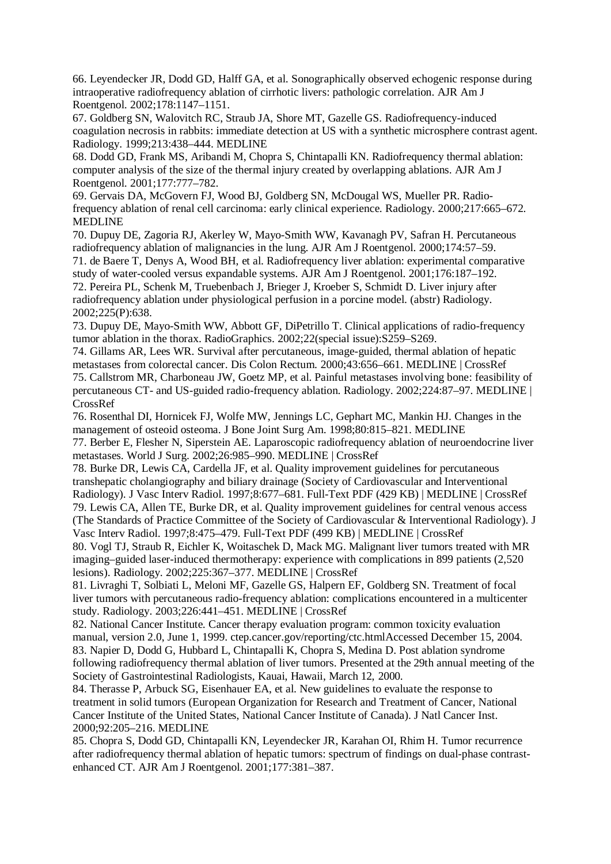[66.](http://www.jvir.org/article/PIIS105104430900308X/fulltext#back-bib66#back-bib66) Leyendecker JR, Dodd GD, Halff GA, et al. Sonographically observed echogenic response during intraoperative radiofrequency ablation of cirrhotic livers: pathologic correlation. AJR Am J Roentgenol. 2002;178:1147–1151.

[67.](http://www.jvir.org/article/PIIS105104430900308X/fulltext#back-bib67#back-bib67) Goldberg SN, Walovitch RC, Straub JA, Shore MT, Gazelle GS. Radiofrequency-induced coagulation necrosis in rabbits: immediate detection at US with a synthetic microsphere contrast agent. Radiology. 1999;213:438–444. [MEDLINE](http://www.jvir.org/medline/record/ivp_00338419_213_438)

[68.](http://www.jvir.org/article/PIIS105104430900308X/fulltext#back-bib68#back-bib68) Dodd GD, Frank MS, Aribandi M, Chopra S, Chintapalli KN. Radiofrequency thermal ablation: computer analysis of the size of the thermal injury created by overlapping ablations. AJR Am J Roentgenol. 2001;177:777–782.

[69.](http://www.jvir.org/article/PIIS105104430900308X/fulltext#back-bib69#back-bib69) Gervais DA, McGovern FJ, Wood BJ, Goldberg SN, McDougal WS, Mueller PR. Radiofrequency ablation of renal cell carcinoma: early clinical experience. Radiology. 2000;217:665–672. [MEDLINE](http://www.jvir.org/medline/record/ivp_00338419_217_665)

[70.](http://www.jvir.org/article/PIIS105104430900308X/fulltext#back-bib70#back-bib70) Dupuy DE, Zagoria RJ, Akerley W, Mayo-Smith WW, Kavanagh PV, Safran H. Percutaneous radiofrequency ablation of malignancies in the lung. AJR Am J Roentgenol. 2000;174:57–59. [71.](http://www.jvir.org/article/PIIS105104430900308X/fulltext#back-bib71#back-bib71) de Baere T, Denys A, Wood BH, et al. Radiofrequency liver ablation: experimental comparative study of water-cooled versus expandable systems. AJR Am J Roentgenol. 2001;176:187–192. [72.](http://www.jvir.org/article/PIIS105104430900308X/fulltext#back-bib72#back-bib72) Pereira PL, Schenk M, Truebenbach J, Brieger J, Kroeber S, Schmidt D. Liver injury after radiofrequency ablation under physiological perfusion in a porcine model. (abstr) Radiology. 2002;225(P):638.

[73.](http://www.jvir.org/article/PIIS105104430900308X/fulltext#back-bib73#back-bib73) Dupuy DE, Mayo-Smith WW, Abbott GF, DiPetrillo T. Clinical applications of radio-frequency tumor ablation in the thorax. RadioGraphics. 2002;22(special issue):S259–S269.

[74.](http://www.jvir.org/article/PIIS105104430900308X/fulltext#back-bib74#back-bib74) Gillams AR, Lees WR. Survival after percutaneous, image-guided, thermal ablation of hepatic metastases from colorectal cancer. Dis Colon Rectum. 2000;43:656–661[. MEDLINE](http://www.jvir.org/medline/record/ivp_00123706_43_656) | [CrossRef](http://www.jvir.org/article/PIIS105104430900308X/fulltext##)  [75.](http://www.jvir.org/article/PIIS105104430900308X/fulltext#back-bib75#back-bib75) Callstrom MR, Charboneau JW, Goetz MP, et al. Painful metastases involving bone: feasibility of percutaneous CT- and US-guided radio-frequency ablation. Radiology. 2002;224:87–97. [MEDLINE](http://www.jvir.org/medline/record/ivp_00338419_224_87) | [CrossRef](http://www.jvir.org/article/PIIS105104430900308X/fulltext##) 

[76.](http://www.jvir.org/article/PIIS105104430900308X/fulltext#back-bib76#back-bib76) Rosenthal DI, Hornicek FJ, Wolfe MW, Jennings LC, Gephart MC, Mankin HJ. Changes in the management of osteoid osteoma. J Bone Joint Surg Am. 1998;80:815–821. [MEDLINE](http://www.jvir.org/medline/record/ivp_00219355_80_815) [77.](http://www.jvir.org/article/PIIS105104430900308X/fulltext#back-bib77#back-bib77) Berber E, Flesher N, Siperstein AE. Laparoscopic radiofrequency ablation of neuroendocrine liver metastases. World J Surg. 2002;26:985–990. [MEDLINE](http://www.jvir.org/medline/record/ivp_03642313_26_985) | [CrossRef](http://www.jvir.org/article/PIIS105104430900308X/fulltext##) 

[78.](http://www.jvir.org/article/PIIS105104430900308X/fulltext#back-bib78#back-bib78) Burke DR, Lewis CA, Cardella JF, et al. Quality improvement guidelines for percutaneous transhepatic cholangiography and biliary drainage (Society of Cardiovascular and Interventional Radiology). J Vasc Interv Radiol. 1997;8:677–681. [Full-Text PDF \(429 KB\) |](http://download.journals.elsevierhealth.com/pdfs/journals/1051-0443/PIIS1051044397706304.pdf?refuid=S1051-0443(09)00308-X&refissn=1051-0443&mis=.pdf) [MEDLINE](http://www.jvir.org/medline/record/ivp_10510443_8_677) | [CrossRef](http://www.jvir.org/article/PIIS105104430900308X/fulltext##)  [79.](http://www.jvir.org/article/PIIS105104430900308X/fulltext#back-bib79#back-bib79) Lewis CA, Allen TE, Burke DR, et al. Quality improvement guidelines for central venous access (The Standards of Practice Committee of the Society of Cardiovascular & Interventional Radiology). J Vasc Interv Radiol. 1997;8:475–479. [Full-Text PDF \(499 KB\) |](http://download.journals.elsevierhealth.com/pdfs/journals/1051-0443/PIIS105104439770592X.pdf?refuid=S1051-0443(09)00308-X&refissn=1051-0443&mis=.pdf) [MEDLINE](http://www.jvir.org/medline/record/ivp_10510443_8_475) | [CrossRef](http://www.jvir.org/article/PIIS105104430900308X/fulltext##) 

[80.](http://www.jvir.org/article/PIIS105104430900308X/fulltext#back-bib80#back-bib80) Vogl TJ, Straub R, Eichler K, Woitaschek D, Mack MG. Malignant liver tumors treated with MR imaging–guided laser-induced thermotherapy: experience with complications in 899 patients (2,520 lesions). Radiology. 2002;225:367–377. [MEDLINE](http://www.jvir.org/medline/record/ivp_00338419_225_367) [| CrossRef](http://www.jvir.org/article/PIIS105104430900308X/fulltext##) 

[81.](http://www.jvir.org/article/PIIS105104430900308X/fulltext#back-bib81#back-bib81) Livraghi T, Solbiati L, Meloni MF, Gazelle GS, Halpern EF, Goldberg SN. Treatment of focal liver tumors with percutaneous radio-frequency ablation: complications encountered in a multicenter study. Radiology. 2003;226:441–451. [MEDLINE](http://www.jvir.org/medline/record/ivp_00338419_226_441) | [CrossRef](http://www.jvir.org/article/PIIS105104430900308X/fulltext##) 

[82.](http://www.jvir.org/article/PIIS105104430900308X/fulltext#back-bib82#back-bib82) National Cancer Institute. Cancer therapy evaluation program: common toxicity evaluation manual, version 2.0, June 1, 1999. [ctep.cancer.gov/reporting/ctc.htmlA](http://ctep.cancer.gov/reporting/ctc.html)ccessed December 15, 2004. [83.](http://www.jvir.org/article/PIIS105104430900308X/fulltext#back-bib83#back-bib83) Napier D, Dodd G, Hubbard L, Chintapalli K, Chopra S, Medina D. Post ablation syndrome following radiofrequency thermal ablation of liver tumors. Presented at the 29th annual meeting of the Society of Gastrointestinal Radiologists, Kauai, Hawaii, March 12, 2000.

[84.](http://www.jvir.org/article/PIIS105104430900308X/fulltext#back-bib84#back-bib84) Therasse P, Arbuck SG, Eisenhauer EA, et al. New guidelines to evaluate the response to treatment in solid tumors (European Organization for Research and Treatment of Cancer, National Cancer Institute of the United States, National Cancer Institute of Canada). J Natl Cancer Inst. 2000;92:205–216. [MEDLINE](http://www.jvir.org/medline/record/ivp_00278874_92_205)

[85.](http://www.jvir.org/article/PIIS105104430900308X/fulltext#back-bib85#back-bib85) Chopra S, Dodd GD, Chintapalli KN, Leyendecker JR, Karahan OI, Rhim H. Tumor recurrence after radiofrequency thermal ablation of hepatic tumors: spectrum of findings on dual-phase contrastenhanced CT. AJR Am J Roentgenol. 2001;177:381–387.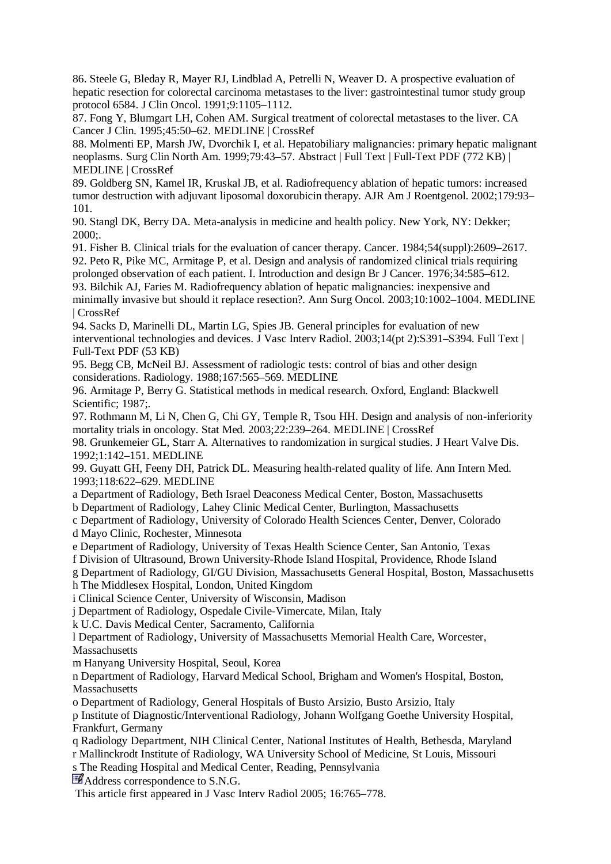[86.](http://www.jvir.org/article/PIIS105104430900308X/fulltext#back-bib86#back-bib86) Steele G, Bleday R, Mayer RJ, Lindblad A, Petrelli N, Weaver D. A prospective evaluation of hepatic resection for colorectal carcinoma metastases to the liver: gastrointestinal tumor study group protocol 6584. J Clin Oncol. 1991;9:1105–1112.

[87.](http://www.jvir.org/article/PIIS105104430900308X/fulltext#back-bib87#back-bib87) Fong Y, Blumgart LH, Cohen AM. Surgical treatment of colorectal metastases to the liver. CA Cancer J Clin. 1995;45:50–62. [MEDLINE](http://www.jvir.org/medline/record/ivp_00079235_45_50) | [CrossRef](http://www.jvir.org/article/PIIS105104430900308X/fulltext##) 

[88.](http://www.jvir.org/article/PIIS105104430900308X/fulltext#back-bib88#back-bib88) Molmenti EP, Marsh JW, Dvorchik I, et al. Hepatobiliary malignancies: primary hepatic malignant neoplasms. Surg Clin North Am. 1999;79:43–57. [Abstract](http://www.surgical.theclinics.com/article/S0039-6109(05)70006-2/abstract?refuid=S1051-0443(09)00308-X&refissn=1051-0443) | [Full Text](http://www.surgical.theclinics.com/article/S0039-6109(05)70006-2/fulltext?refuid=S1051-0443(09)00308-X&refissn=1051-0443) | [Full-Text PDF \(772 KB\) |](http://download.journals.elsevierhealth.com/pdfs/journals/0039-6109/PIIS0039610905700062.pdf?refuid=S1051-0443(09)00308-X&refissn=1051-0443&mis=.pdf)  [MEDLINE](http://www.surgical.theclinics.com/medline/record/ivp_00396109_79_43) | [CrossRef](http://www.jvir.org/article/PIIS105104430900308X/fulltext##) 

[89.](http://www.jvir.org/article/PIIS105104430900308X/fulltext#back-bib89#back-bib89) Goldberg SN, Kamel IR, Kruskal JB, et al. Radiofrequency ablation of hepatic tumors: increased tumor destruction with adjuvant liposomal doxorubicin therapy. AJR Am J Roentgenol. 2002;179:93– 101.

[90.](http://www.jvir.org/article/PIIS105104430900308X/fulltext#back-bib90#back-bib90) Stangl DK, Berry DA. Meta-analysis in medicine and health policy. New York, NY: Dekker; 2000;.

[91.](http://www.jvir.org/article/PIIS105104430900308X/fulltext#back-bib91#back-bib91) Fisher B. Clinical trials for the evaluation of cancer therapy. Cancer. 1984;54(suppl):2609–2617.

[92.](http://www.jvir.org/article/PIIS105104430900308X/fulltext#back-bib92#back-bib92) Peto R, Pike MC, Armitage P, et al. Design and analysis of randomized clinical trials requiring prolonged observation of each patient. I. Introduction and design Br J Cancer. 1976;34:585–612. [93.](http://www.jvir.org/article/PIIS105104430900308X/fulltext#back-bib93#back-bib93) Bilchik AJ, Faries M. Radiofrequency ablation of hepatic malignancies: inexpensive and minimally invasive but should it replace resection?. Ann Surg Oncol. 2003;10:1002–1004. [MEDLINE](http://www.jvir.org/medline/record/ivp_10689265_10_1002) | [CrossRef](http://www.jvir.org/article/PIIS105104430900308X/fulltext##) 

[94.](http://www.jvir.org/article/PIIS105104430900308X/fulltext#back-bib94#back-bib94) Sacks D, Marinelli DL, Martin LG, Spies JB. General principles for evaluation of new interventional technologies and devices. J Vasc Interv Radiol. 2003;14(pt 2):S391–S394. [Full Text](http://www.jvir.org/article/S1051-0443(07)61256-1/fulltext?refuid=S1051-0443(09)00308-X&refissn=1051-0443) | [Full-Text PDF \(53 KB\)](http://download.journals.elsevierhealth.com/pdfs/journals/1051-0443/PIIS1051044307612561.pdf?refuid=S1051-0443(09)00308-X&refissn=1051-0443&mis=.pdf) 

[95.](http://www.jvir.org/article/PIIS105104430900308X/fulltext#back-bib95#back-bib95) Begg CB, McNeil BJ. Assessment of radiologic tests: control of bias and other design considerations. Radiology. 1988;167:565–569. [MEDLINE](http://www.jvir.org/medline/record/ivp_00338419_167_565)

[96.](http://www.jvir.org/article/PIIS105104430900308X/fulltext#back-bib96#back-bib96) Armitage P, Berry G. Statistical methods in medical research. Oxford, England: Blackwell Scientific: 1987:

[97.](http://www.jvir.org/article/PIIS105104430900308X/fulltext#back-bib97#back-bib97) Rothmann M, Li N, Chen G, Chi GY, Temple R, Tsou HH. Design and analysis of non-inferiority mortality trials in oncology. Stat Med. 2003;22:239–264. [MEDLINE](http://www.jvir.org/medline/record/ivp_02776715_22_239) | [CrossRef](http://www.jvir.org/article/PIIS105104430900308X/fulltext##) 

[98.](http://www.jvir.org/article/PIIS105104430900308X/fulltext#back-bib98#back-bib98) Grunkemeier GL, Starr A. Alternatives to randomization in surgical studies. J Heart Valve Dis. 1992;1:142–151. [MEDLINE](http://www.jvir.org/medline/record/ivp_09668519_1_142)

[99.](http://www.jvir.org/article/PIIS105104430900308X/fulltext#back-bib99#back-bib99) Guyatt GH, Feeny DH, Patrick DL. Measuring health-related quality of life. Ann Intern Med. 1993;118:622–629. [MEDLINE](http://www.jvir.org/medline/record/ivp_00034819_118_622)

[a](http://www.jvir.org/article/PIIS105104430900308X/fulltext#back-aff1#back-aff1) Department of Radiology, Beth Israel Deaconess Medical Center, Boston, Massachusetts

[b](http://www.jvir.org/article/PIIS105104430900308X/fulltext#back-aff2#back-aff2) Department of Radiology, Lahey Clinic Medical Center, Burlington, Massachusetts

[c](http://www.jvir.org/article/PIIS105104430900308X/fulltext#back-aff3#back-aff3) Department of Radiology, University of Colorado Health Sciences Center, Denver, Colorado

[d](http://www.jvir.org/article/PIIS105104430900308X/fulltext#back-aff4#back-aff4) Mayo Clinic, Rochester, Minnesota

[e](http://www.jvir.org/article/PIIS105104430900308X/fulltext#back-aff5#back-aff5) Department of Radiology, University of Texas Health Science Center, San Antonio, Texas

[f](http://www.jvir.org/article/PIIS105104430900308X/fulltext#back-aff6#back-aff6) Division of Ultrasound, Brown University-Rhode Island Hospital, Providence, Rhode Island

[g](http://www.jvir.org/article/PIIS105104430900308X/fulltext#back-aff7#back-aff7) Department of Radiology, GI/GU Division, Massachusetts General Hospital, Boston, Massachusetts

[h](http://www.jvir.org/article/PIIS105104430900308X/fulltext#back-aff8#back-aff8) The Middlesex Hospital, London, United Kingdom

[i](http://www.jvir.org/article/PIIS105104430900308X/fulltext#back-aff9#back-aff9) Clinical Science Center, University of Wisconsin, Madison

[j](http://www.jvir.org/article/PIIS105104430900308X/fulltext#back-aff10#back-aff10) Department of Radiology, Ospedale Civile-Vimercate, Milan, Italy

[k](http://www.jvir.org/article/PIIS105104430900308X/fulltext#back-aff11#back-aff11) U.C. Davis Medical Center, Sacramento, California

[l](http://www.jvir.org/article/PIIS105104430900308X/fulltext#back-aff12#back-aff12) Department of Radiology, University of Massachusetts Memorial Health Care, Worcester, **Massachusetts** 

[m](http://www.jvir.org/article/PIIS105104430900308X/fulltext#back-aff13#back-aff13) Hanyang University Hospital, Seoul, Korea

[n](http://www.jvir.org/article/PIIS105104430900308X/fulltext#back-aff14#back-aff14) Department of Radiology, Harvard Medical School, Brigham and Women's Hospital, Boston, **Massachusetts** 

[o](http://www.jvir.org/article/PIIS105104430900308X/fulltext#back-aff15#back-aff15) Department of Radiology, General Hospitals of Busto Arsizio, Busto Arsizio, Italy

[p](http://www.jvir.org/article/PIIS105104430900308X/fulltext#back-aff16#back-aff16) Institute of Diagnostic/Interventional Radiology, Johann Wolfgang Goethe University Hospital, Frankfurt, Germany

[q](http://www.jvir.org/article/PIIS105104430900308X/fulltext#back-aff17#back-aff17) Radiology Department, NIH Clinical Center, National Institutes of Health, Bethesda, Maryland

[r](http://www.jvir.org/article/PIIS105104430900308X/fulltext#back-aff18#back-aff18) Mallinckrodt Institute of Radiology, WA University School of Medicine, St Louis, Missouri

[s](http://www.jvir.org/article/PIIS105104430900308X/fulltext#back-aff19#back-aff19) The Reading Hospital and Medical Center, Reading, Pennsylvania

Address correspondence to S.N.G.

This article first appeared in J Vasc Interv Radiol 2005; 16:765–778.